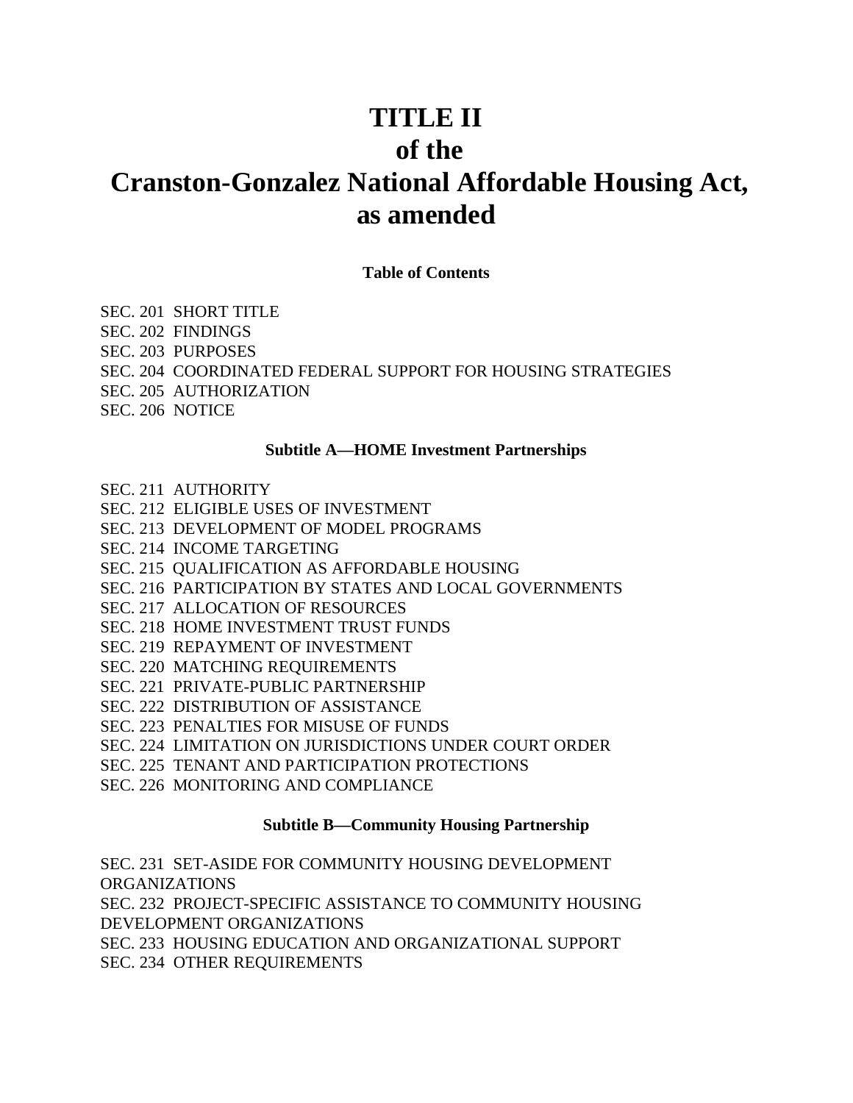# **TITLE II of the Cranston-Gonzalez National Affordable Housing Act, as amended**

**Table of Contents**

SEC. 201 SHORT TITLE SEC. 202 FINDINGS SEC. 203 PURPOSES SEC. 204 COORDINATED FEDERAL SUPPORT FOR HOUSING STRATEGIES SEC. 205 AUTHORIZATION SEC. 206 NOTICE

## **Subtitle A—HOME Investment Partnerships**

- SEC. 211 AUTHORITY
- SEC. 212 ELIGIBLE USES OF INVESTMENT
- SEC. 213 DEVELOPMENT OF MODEL PROGRAMS
- SEC. 214 INCOME TARGETING
- SEC. 215 QUALIFICATION AS AFFORDABLE HOUSING
- SEC. 216 PARTICIPATION BY STATES AND LOCAL GOVERNMENTS
- SEC. 217 ALLOCATION OF RESOURCES
- SEC. 218 HOME INVESTMENT TRUST FUNDS
- SEC. 219 REPAYMENT OF INVESTMENT
- SEC. 220 MATCHING REQUIREMENTS
- SEC. 221 PRIVATE-PUBLIC PARTNERSHIP
- SEC. 222 DISTRIBUTION OF ASSISTANCE
- SEC. 223 PENALTIES FOR MISUSE OF FUNDS
- SEC. 224 LIMITATION ON JURISDICTIONS UNDER COURT ORDER
- SEC. 225 TENANT AND PARTICIPATION PROTECTIONS
- SEC. 226 MONITORING AND COMPLIANCE

## **Subtitle B—Community Housing Partnership**

SEC. 231 SET-ASIDE FOR COMMUNITY HOUSING DEVELOPMENT ORGANIZATIONS SEC. 232 PROJECT-SPECIFIC ASSISTANCE TO COMMUNITY HOUSING DEVELOPMENT ORGANIZATIONS SEC. 233 HOUSING EDUCATION AND ORGANIZATIONAL SUPPORT SEC. 234 OTHER REQUIREMENTS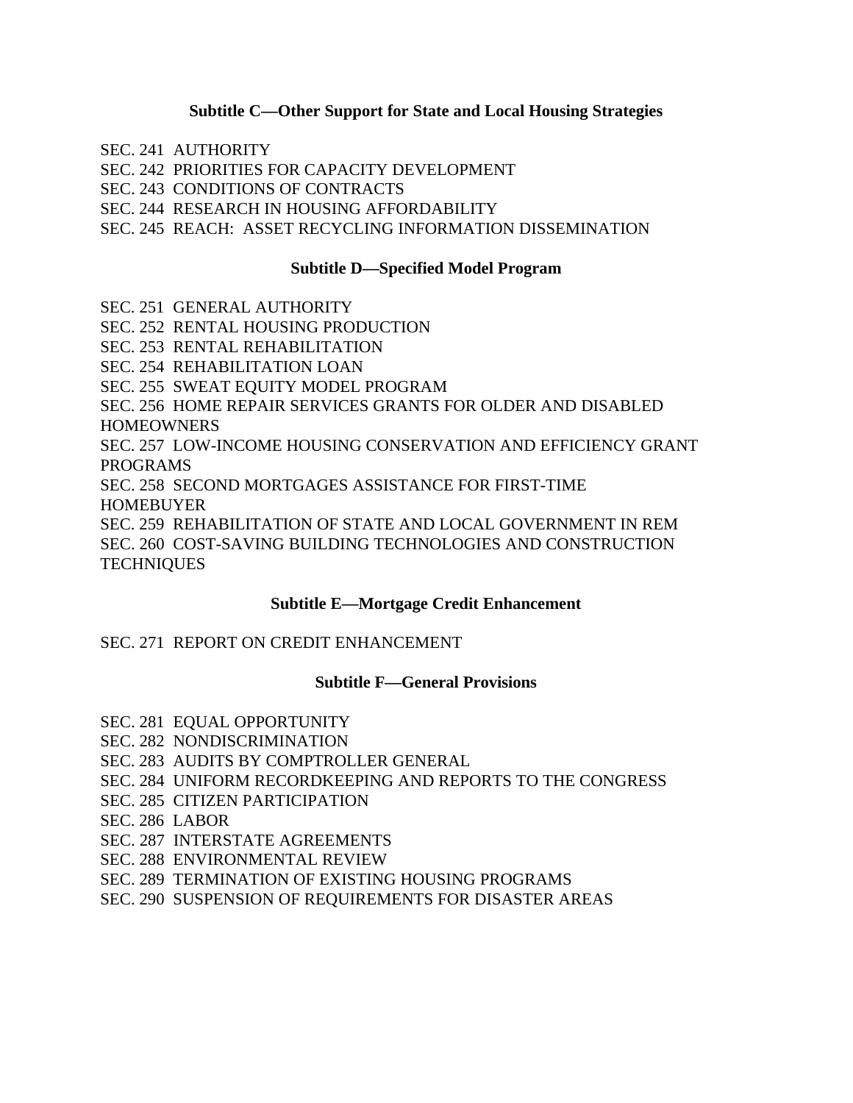## **Subtitle C—Other Support for State and Local Housing Strategies**

- SEC. 241 AUTHORITY
- SEC. 242 PRIORITIES FOR CAPACITY DEVELOPMENT
- SEC. 243 CONDITIONS OF CONTRACTS
- SEC. 244 RESEARCH IN HOUSING AFFORDABILITY
- SEC. 245 REACH: ASSET RECYCLING INFORMATION DISSEMINATION

# **Subtitle D—Specified Model Program**

- SEC. 251 GENERAL AUTHORITY
- SEC. 252 RENTAL HOUSING PRODUCTION
- SEC. 253 RENTAL REHABILITATION
- SEC. 254 REHABILITATION LOAN
- SEC. 255 SWEAT EQUITY MODEL PROGRAM
- SEC. 256 HOME REPAIR SERVICES GRANTS FOR OLDER AND DISABLED **HOMEOWNERS**
- SEC. 257 LOW-INCOME HOUSING CONSERVATION AND EFFICIENCY GRANT PROGRAMS
- SEC. 258 SECOND MORTGAGES ASSISTANCE FOR FIRST-TIME
- HOMEBUYER
- SEC. 259 REHABILITATION OF STATE AND LOCAL GOVERNMENT IN REM SEC. 260 COST-SAVING BUILDING TECHNOLOGIES AND CONSTRUCTION **TECHNIQUES**

## **Subtitle E—Mortgage Credit Enhancement**

# SEC. 271 REPORT ON CREDIT ENHANCEMENT

## **Subtitle F—General Provisions**

- SEC. 281 EQUAL OPPORTUNITY
- SEC. 282 NONDISCRIMINATION
- SEC. 283 AUDITS BY COMPTROLLER GENERAL
- SEC. 284 UNIFORM RECORDKEEPING AND REPORTS TO THE CONGRESS
- SEC. 285 CITIZEN PARTICIPATION
- SEC. 286 LABOR
- SEC. 287 INTERSTATE AGREEMENTS
- SEC. 288 ENVIRONMENTAL REVIEW
- SEC. 289 TERMINATION OF EXISTING HOUSING PROGRAMS
- SEC. 290 SUSPENSION OF REQUIREMENTS FOR DISASTER AREAS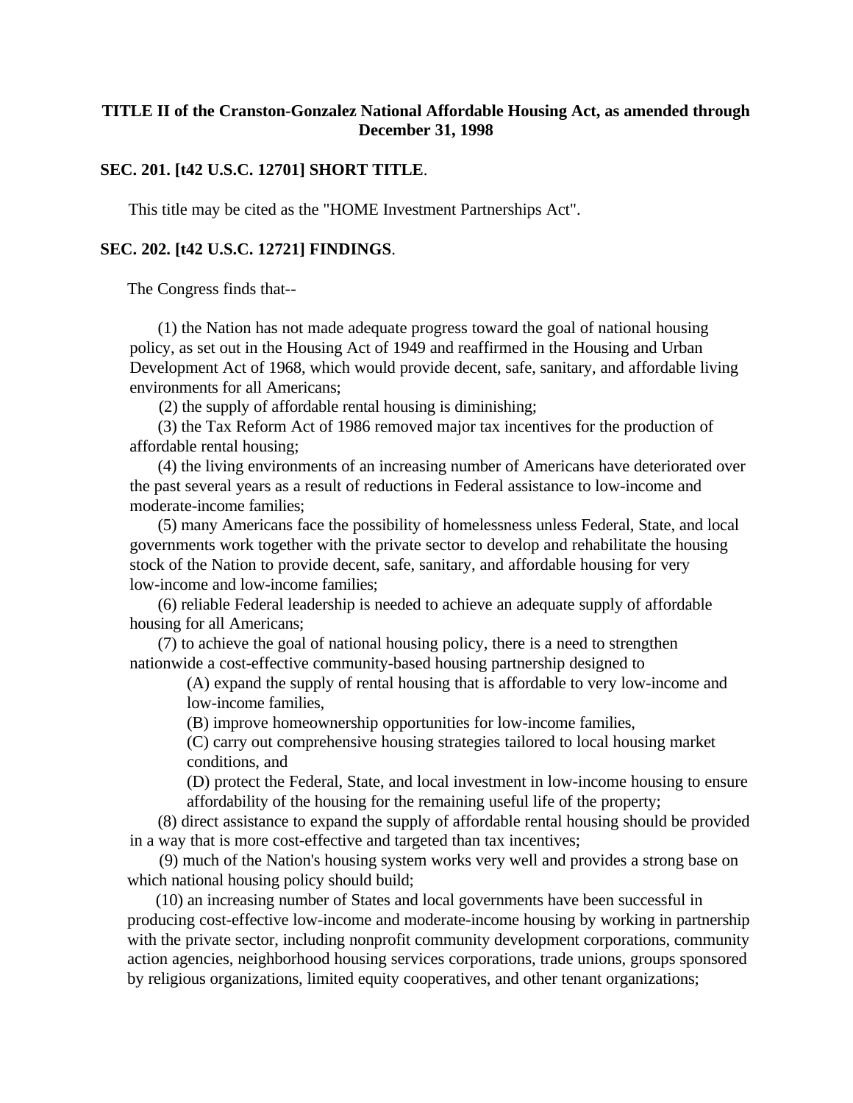## **TITLE II of the Cranston-Gonzalez National Affordable Housing Act, as amended through December 31, 1998**

## **SEC. 201. [t42 U.S.C. 12701] SHORT TITLE**.

This title may be cited as the "HOME Investment Partnerships Act".

## **SEC. 202. [t42 U.S.C. 12721] FINDINGS**.

The Congress finds that--

(1) the Nation has not made adequate progress toward the goal of national housing policy, as set out in the Housing Act of 1949 and reaffirmed in the Housing and Urban Development Act of 1968, which would provide decent, safe, sanitary, and affordable living environments for all Americans;

(2) the supply of affordable rental housing is diminishing;

(3) the Tax Reform Act of 1986 removed major tax incentives for the production of affordable rental housing;

(4) the living environments of an increasing number of Americans have deteriorated over the past several years as a result of reductions in Federal assistance to low-income and moderate-income families;

(5) many Americans face the possibility of homelessness unless Federal, State, and local governments work together with the private sector to develop and rehabilitate the housing stock of the Nation to provide decent, safe, sanitary, and affordable housing for very low-income and low-income families;

(6) reliable Federal leadership is needed to achieve an adequate supply of affordable housing for all Americans;

(7) to achieve the goal of national housing policy, there is a need to strengthen nationwide a cost-effective community-based housing partnership designed to

> (A) expand the supply of rental housing that is affordable to very low-income and low-income families,

(B) improve homeownership opportunities for low-income families,

(C) carry out comprehensive housing strategies tailored to local housing market conditions, and

(D) protect the Federal, State, and local investment in low-income housing to ensure affordability of the housing for the remaining useful life of the property;

(8) direct assistance to expand the supply of affordable rental housing should be provided in a way that is more cost-effective and targeted than tax incentives;

 (9) much of the Nation's housing system works very well and provides a strong base on which national housing policy should build;

(10) an increasing number of States and local governments have been successful in producing cost-effective low-income and moderate-income housing by working in partnership with the private sector, including nonprofit community development corporations, community action agencies, neighborhood housing services corporations, trade unions, groups sponsored by religious organizations, limited equity cooperatives, and other tenant organizations;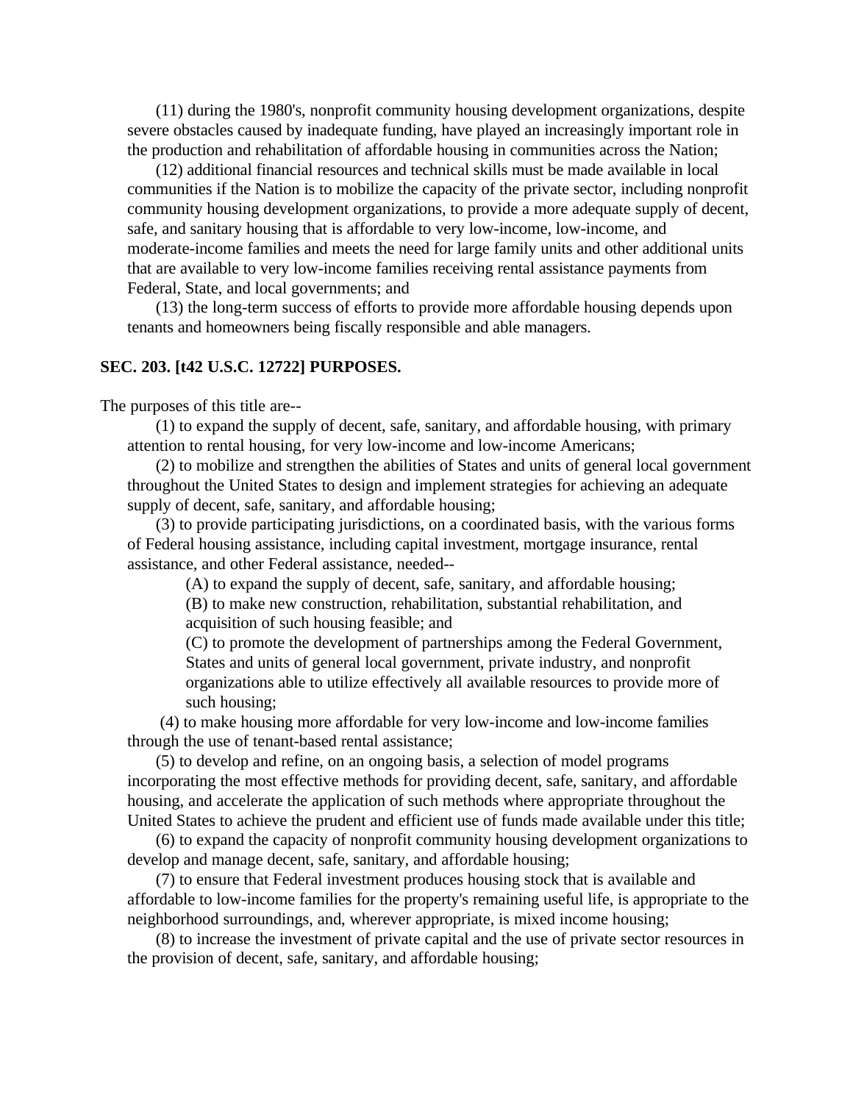(11) during the 1980's, nonprofit community housing development organizations, despite severe obstacles caused by inadequate funding, have played an increasingly important role in the production and rehabilitation of affordable housing in communities across the Nation;

(12) additional financial resources and technical skills must be made available in local communities if the Nation is to mobilize the capacity of the private sector, including nonprofit community housing development organizations, to provide a more adequate supply of decent, safe, and sanitary housing that is affordable to very low-income, low-income, and moderate-income families and meets the need for large family units and other additional units that are available to very low-income families receiving rental assistance payments from Federal, State, and local governments; and

(13) the long-term success of efforts to provide more affordable housing depends upon tenants and homeowners being fiscally responsible and able managers.

#### **SEC. 203. [t42 U.S.C. 12722] PURPOSES.**

The purposes of this title are--

(1) to expand the supply of decent, safe, sanitary, and affordable housing, with primary attention to rental housing, for very low-income and low-income Americans;

(2) to mobilize and strengthen the abilities of States and units of general local government throughout the United States to design and implement strategies for achieving an adequate supply of decent, safe, sanitary, and affordable housing;

(3) to provide participating jurisdictions, on a coordinated basis, with the various forms of Federal housing assistance, including capital investment, mortgage insurance, rental assistance, and other Federal assistance, needed--

(A) to expand the supply of decent, safe, sanitary, and affordable housing;

(B) to make new construction, rehabilitation, substantial rehabilitation, and acquisition of such housing feasible; and

(C) to promote the development of partnerships among the Federal Government, States and units of general local government, private industry, and nonprofit organizations able to utilize effectively all available resources to provide more of such housing;

 (4) to make housing more affordable for very low-income and low-income families through the use of tenant-based rental assistance;

(5) to develop and refine, on an ongoing basis, a selection of model programs incorporating the most effective methods for providing decent, safe, sanitary, and affordable housing, and accelerate the application of such methods where appropriate throughout the United States to achieve the prudent and efficient use of funds made available under this title;

(6) to expand the capacity of nonprofit community housing development organizations to develop and manage decent, safe, sanitary, and affordable housing;

(7) to ensure that Federal investment produces housing stock that is available and affordable to low-income families for the property's remaining useful life, is appropriate to the neighborhood surroundings, and, wherever appropriate, is mixed income housing;

(8) to increase the investment of private capital and the use of private sector resources in the provision of decent, safe, sanitary, and affordable housing;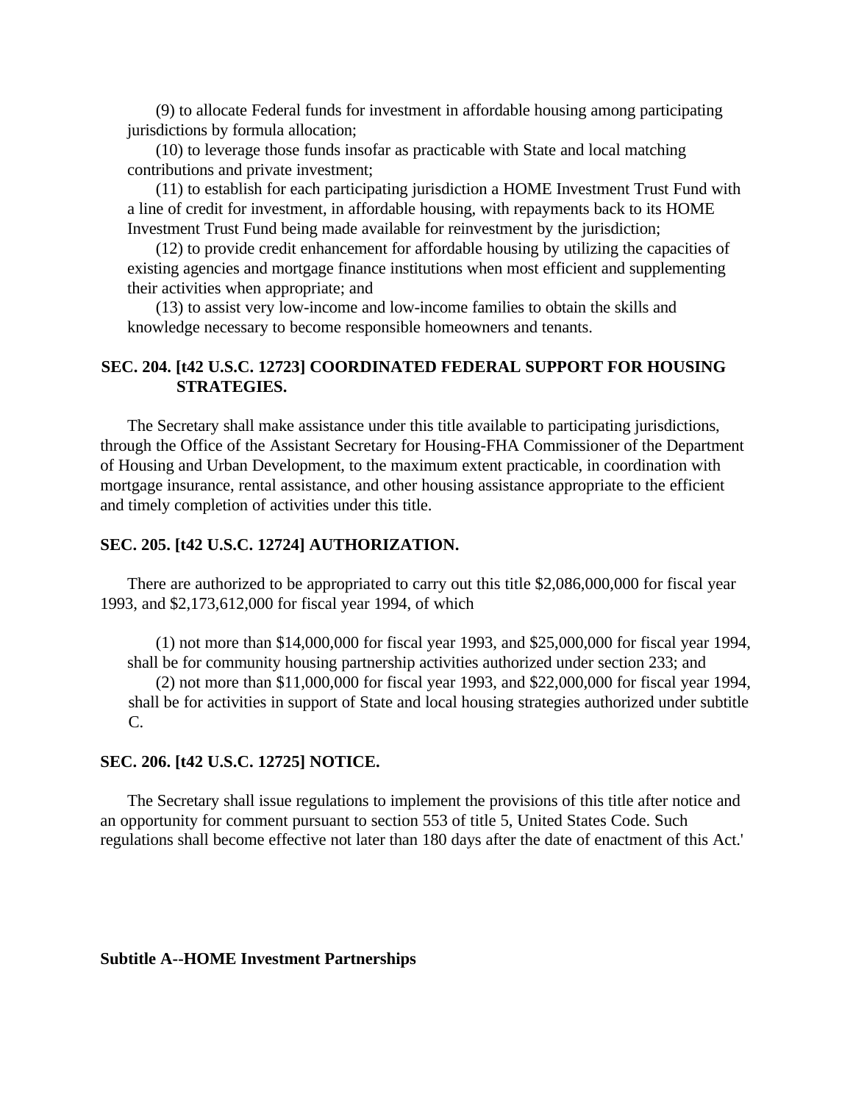(9) to allocate Federal funds for investment in affordable housing among participating jurisdictions by formula allocation;

(10) to leverage those funds insofar as practicable with State and local matching contributions and private investment;

(11) to establish for each participating jurisdiction a HOME Investment Trust Fund with a line of credit for investment, in affordable housing, with repayments back to its HOME Investment Trust Fund being made available for reinvestment by the jurisdiction;

(12) to provide credit enhancement for affordable housing by utilizing the capacities of existing agencies and mortgage finance institutions when most efficient and supplementing their activities when appropriate; and

(13) to assist very low-income and low-income families to obtain the skills and knowledge necessary to become responsible homeowners and tenants.

# **SEC. 204. [t42 U.S.C. 12723] COORDINATED FEDERAL SUPPORT FOR HOUSING STRATEGIES.**

The Secretary shall make assistance under this title available to participating jurisdictions, through the Office of the Assistant Secretary for Housing-FHA Commissioner of the Department of Housing and Urban Development, to the maximum extent practicable, in coordination with mortgage insurance, rental assistance, and other housing assistance appropriate to the efficient and timely completion of activities under this title.

## **SEC. 205. [t42 U.S.C. 12724] AUTHORIZATION.**

There are authorized to be appropriated to carry out this title \$2,086,000,000 for fiscal year 1993, and \$2,173,612,000 for fiscal year 1994, of which

(1) not more than \$14,000,000 for fiscal year 1993, and \$25,000,000 for fiscal year 1994, shall be for community housing partnership activities authorized under section 233; and (2) not more than \$11,000,000 for fiscal year 1993, and \$22,000,000 for fiscal year 1994, shall be for activities in support of State and local housing strategies authorized under subtitle C.

## **SEC. 206. [t42 U.S.C. 12725] NOTICE.**

The Secretary shall issue regulations to implement the provisions of this title after notice and an opportunity for comment pursuant to section 553 of title 5, United States Code. Such regulations shall become effective not later than 180 days after the date of enactment of this Act.'

## **Subtitle A--HOME Investment Partnerships**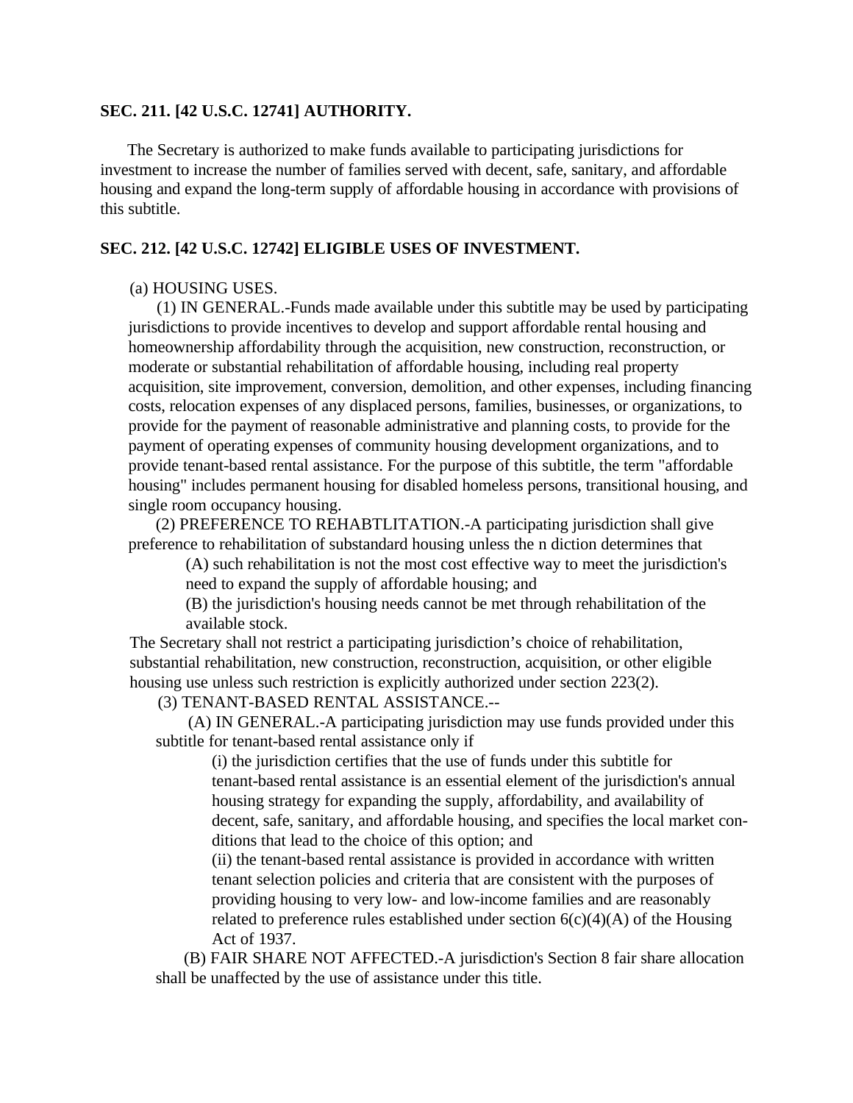## **SEC. 211. [42 U.S.C. 12741] AUTHORITY.**

The Secretary is authorized to make funds available to participating jurisdictions for investment to increase the number of families served with decent, safe, sanitary, and affordable housing and expand the long-term supply of affordable housing in accordance with provisions of this subtitle.

## **SEC. 212. [42 U.S.C. 12742] ELIGIBLE USES OF INVESTMENT.**

## (a) HOUSING USES.

(1) IN GENERAL.-Funds made available under this subtitle may be used by participating jurisdictions to provide incentives to develop and support affordable rental housing and homeownership affordability through the acquisition, new construction, reconstruction, or moderate or substantial rehabilitation of affordable housing, including real property acquisition, site improvement, conversion, demolition, and other expenses, including financing costs, relocation expenses of any displaced persons, families, businesses, or organizations, to provide for the payment of reasonable administrative and planning costs, to provide for the payment of operating expenses of community housing development organizations, and to provide tenant-based rental assistance. For the purpose of this subtitle, the term "affordable housing" includes permanent housing for disabled homeless persons, transitional housing, and single room occupancy housing.

(2) PREFERENCE TO REHABTLITATION.-A participating jurisdiction shall give preference to rehabilitation of substandard housing unless the n diction determines that

(A) such rehabilitation is not the most cost effective way to meet the jurisdiction's need to expand the supply of affordable housing; and

(B) the jurisdiction's housing needs cannot be met through rehabilitation of the available stock.

The Secretary shall not restrict a participating jurisdiction's choice of rehabilitation, substantial rehabilitation, new construction, reconstruction, acquisition, or other eligible housing use unless such restriction is explicitly authorized under section 223(2).

(3) TENANT-BASED RENTAL ASSISTANCE.--

 (A) IN GENERAL.-A participating jurisdiction may use funds provided under this subtitle for tenant-based rental assistance only if

(i) the jurisdiction certifies that the use of funds under this subtitle for tenant-based rental assistance is an essential element of the jurisdiction's annual housing strategy for expanding the supply, affordability, and availability of decent, safe, sanitary, and affordable housing, and specifies the local market conditions that lead to the choice of this option; and

(ii) the tenant-based rental assistance is provided in accordance with written tenant selection policies and criteria that are consistent with the purposes of providing housing to very low- and low-income families and are reasonably related to preference rules established under section  $6(c)(4)(A)$  of the Housing Act of 1937.

(B) FAIR SHARE NOT AFFECTED.-A jurisdiction's Section 8 fair share allocation shall be unaffected by the use of assistance under this title.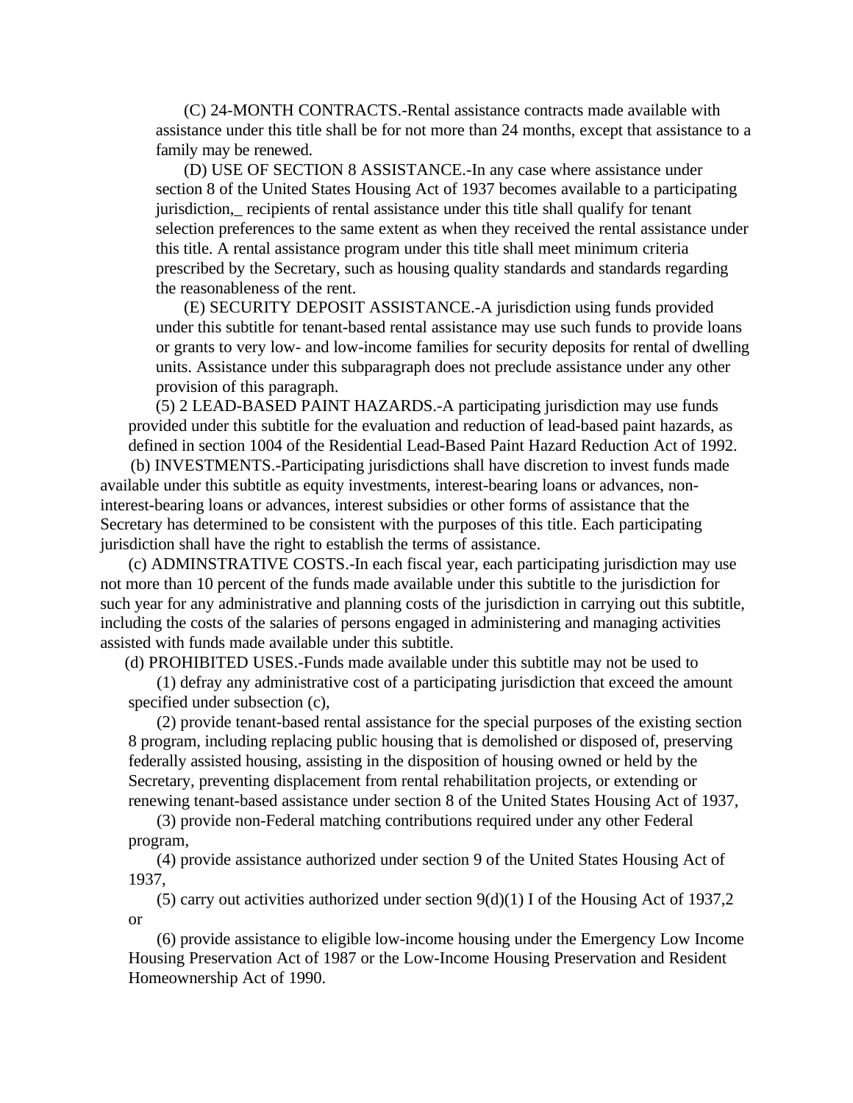(C) 24-MONTH CONTRACTS.-Rental assistance contracts made available with assistance under this title shall be for not more than 24 months, except that assistance to a family may be renewed.

(D) USE OF SECTION 8 ASSISTANCE.-In any case where assistance under section 8 of the United States Housing Act of 1937 becomes available to a participating jurisdiction, recipients of rental assistance under this title shall qualify for tenant selection preferences to the same extent as when they received the rental assistance under this title. A rental assistance program under this title shall meet minimum criteria prescribed by the Secretary, such as housing quality standards and standards regarding the reasonableness of the rent.

(E) SECURITY DEPOSIT ASSISTANCE.-A jurisdiction using funds provided under this subtitle for tenant-based rental assistance may use such funds to provide loans or grants to very low- and low-income families for security deposits for rental of dwelling units. Assistance under this subparagraph does not preclude assistance under any other provision of this paragraph.

(5) 2 LEAD-BASED PAINT HAZARDS.-A participating jurisdiction may use funds provided under this subtitle for the evaluation and reduction of lead-based paint hazards, as defined in section 1004 of the Residential Lead-Based Paint Hazard Reduction Act of 1992.

 (b) INVESTMENTS.-Participating jurisdictions shall have discretion to invest funds made available under this subtitle as equity investments, interest-bearing loans or advances, noninterest-bearing loans or advances, interest subsidies or other forms of assistance that the Secretary has determined to be consistent with the purposes of this title. Each participating jurisdiction shall have the right to establish the terms of assistance.

(c) ADMINSTRATIVE COSTS.-In each fiscal year, each participating jurisdiction may use not more than 10 percent of the funds made available under this subtitle to the jurisdiction for such year for any administrative and planning costs of the jurisdiction in carrying out this subtitle, including the costs of the salaries of persons engaged in administering and managing activities assisted with funds made available under this subtitle.

(d) PROHIBITED USES.-Funds made available under this subtitle may not be used to

(1) defray any administrative cost of a participating jurisdiction that exceed the amount specified under subsection (c),

(2) provide tenant-based rental assistance for the special purposes of the existing section 8 program, including replacing public housing that is demolished or disposed of, preserving federally assisted housing, assisting in the disposition of housing owned or held by the Secretary, preventing displacement from rental rehabilitation projects, or extending or renewing tenant-based assistance under section 8 of the United States Housing Act of 1937,

(3) provide non-Federal matching contributions required under any other Federal program,

(4) provide assistance authorized under section 9 of the United States Housing Act of 1937,

(5) carry out activities authorized under section  $9(d)(1)$  I of the Housing Act of 1937,2 or

(6) provide assistance to eligible low-income housing under the Emergency Low Income Housing Preservation Act of 1987 or the Low-Income Housing Preservation and Resident Homeownership Act of 1990.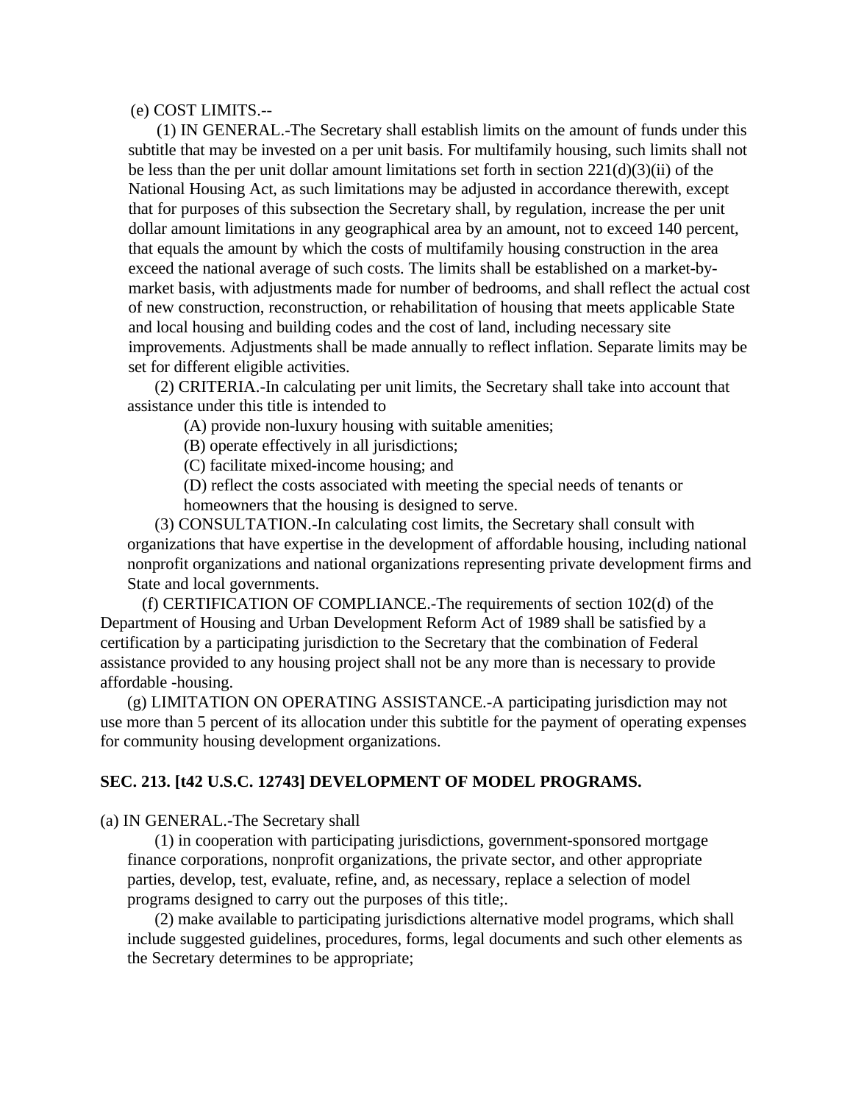(e) COST LIMITS.--

(1) IN GENERAL.-The Secretary shall establish limits on the amount of funds under this subtitle that may be invested on a per unit basis. For multifamily housing, such limits shall not be less than the per unit dollar amount limitations set forth in section 221(d)(3)(ii) of the National Housing Act, as such limitations may be adjusted in accordance therewith, except that for purposes of this subsection the Secretary shall, by regulation, increase the per unit dollar amount limitations in any geographical area by an amount, not to exceed 140 percent, that equals the amount by which the costs of multifamily housing construction in the area exceed the national average of such costs. The limits shall be established on a market-bymarket basis, with adjustments made for number of bedrooms, and shall reflect the actual cost of new construction, reconstruction, or rehabilitation of housing that meets applicable State and local housing and building codes and the cost of land, including necessary site improvements. Adjustments shall be made annually to reflect inflation. Separate limits may be set for different eligible activities.

(2) CRITERIA.-In calculating per unit limits, the Secretary shall take into account that assistance under this title is intended to

(A) provide non-luxury housing with suitable amenities;

(B) operate effectively in all jurisdictions;

(C) facilitate mixed-income housing; and

(D) reflect the costs associated with meeting the special needs of tenants or homeowners that the housing is designed to serve.

(3) CONSULTATION.-In calculating cost limits, the Secretary shall consult with organizations that have expertise in the development of affordable housing, including national nonprofit organizations and national organizations representing private development firms and State and local governments.

(f) CERTIFICATION OF COMPLIANCE.-The requirements of section 102(d) of the Department of Housing and Urban Development Reform Act of 1989 shall be satisfied by a certification by a participating jurisdiction to the Secretary that the combination of Federal assistance provided to any housing project shall not be any more than is necessary to provide affordable -housing.

(g) LIMITATION ON OPERATING ASSISTANCE.-A participating jurisdiction may not use more than 5 percent of its allocation under this subtitle for the payment of operating expenses for community housing development organizations.

## **SEC. 213. [t42 U.S.C. 12743] DEVELOPMENT OF MODEL PROGRAMS.**

(a) IN GENERAL.-The Secretary shall

(1) in cooperation with participating jurisdictions, government-sponsored mortgage finance corporations, nonprofit organizations, the private sector, and other appropriate parties, develop, test, evaluate, refine, and, as necessary, replace a selection of model programs designed to carry out the purposes of this title;.

(2) make available to participating jurisdictions alternative model programs, which shall include suggested guidelines, procedures, forms, legal documents and such other elements as the Secretary determines to be appropriate;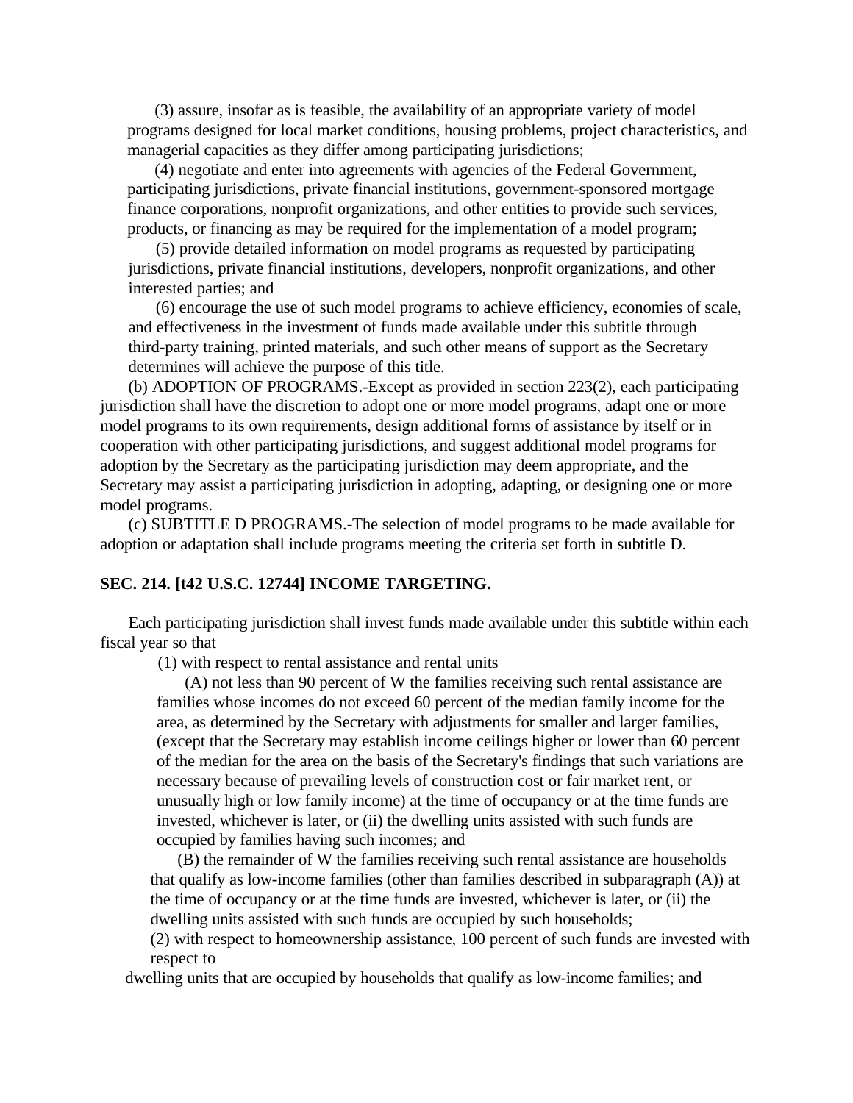(3) assure, insofar as is feasible, the availability of an appropriate variety of model programs designed for local market conditions, housing problems, project characteristics, and managerial capacities as they differ among participating jurisdictions;

(4) negotiate and enter into agreements with agencies of the Federal Government, participating jurisdictions, private financial institutions, government-sponsored mortgage finance corporations, nonprofit organizations, and other entities to provide such services, products, or financing as may be required for the implementation of a model program;

(5) provide detailed information on model programs as requested by participating jurisdictions, private financial institutions, developers, nonprofit organizations, and other interested parties; and

(6) encourage the use of such model programs to achieve efficiency, economies of scale, and effectiveness in the investment of funds made available under this subtitle through third-party training, printed materials, and such other means of support as the Secretary determines will achieve the purpose of this title.

(b) ADOPTION OF PROGRAMS.-Except as provided in section 223(2), each participating jurisdiction shall have the discretion to adopt one or more model programs, adapt one or more model programs to its own requirements, design additional forms of assistance by itself or in cooperation with other participating jurisdictions, and suggest additional model programs for adoption by the Secretary as the participating jurisdiction may deem appropriate, and the Secretary may assist a participating jurisdiction in adopting, adapting, or designing one or more model programs.

(c) SUBTITLE D PROGRAMS.-The selection of model programs to be made available for adoption or adaptation shall include programs meeting the criteria set forth in subtitle D.

## **SEC. 214. [t42 U.S.C. 12744] INCOME TARGETING.**

Each participating jurisdiction shall invest funds made available under this subtitle within each fiscal year so that

(1) with respect to rental assistance and rental units

(A) not less than 90 percent of W the families receiving such rental assistance are families whose incomes do not exceed 60 percent of the median family income for the area, as determined by the Secretary with adjustments for smaller and larger families, (except that the Secretary may establish income ceilings higher or lower than 60 percent of the median for the area on the basis of the Secretary's findings that such variations are necessary because of prevailing levels of construction cost or fair market rent, or unusually high or low family income) at the time of occupancy or at the time funds are invested, whichever is later, or (ii) the dwelling units assisted with such funds are occupied by families having such incomes; and

(B) the remainder of W the families receiving such rental assistance are households that qualify as low-income families (other than families described in subparagraph (A)) at the time of occupancy or at the time funds are invested, whichever is later, or (ii) the dwelling units assisted with such funds are occupied by such households;

(2) with respect to homeownership assistance, 100 percent of such funds are invested with respect to

dwelling units that are occupied by households that qualify as low-income families; and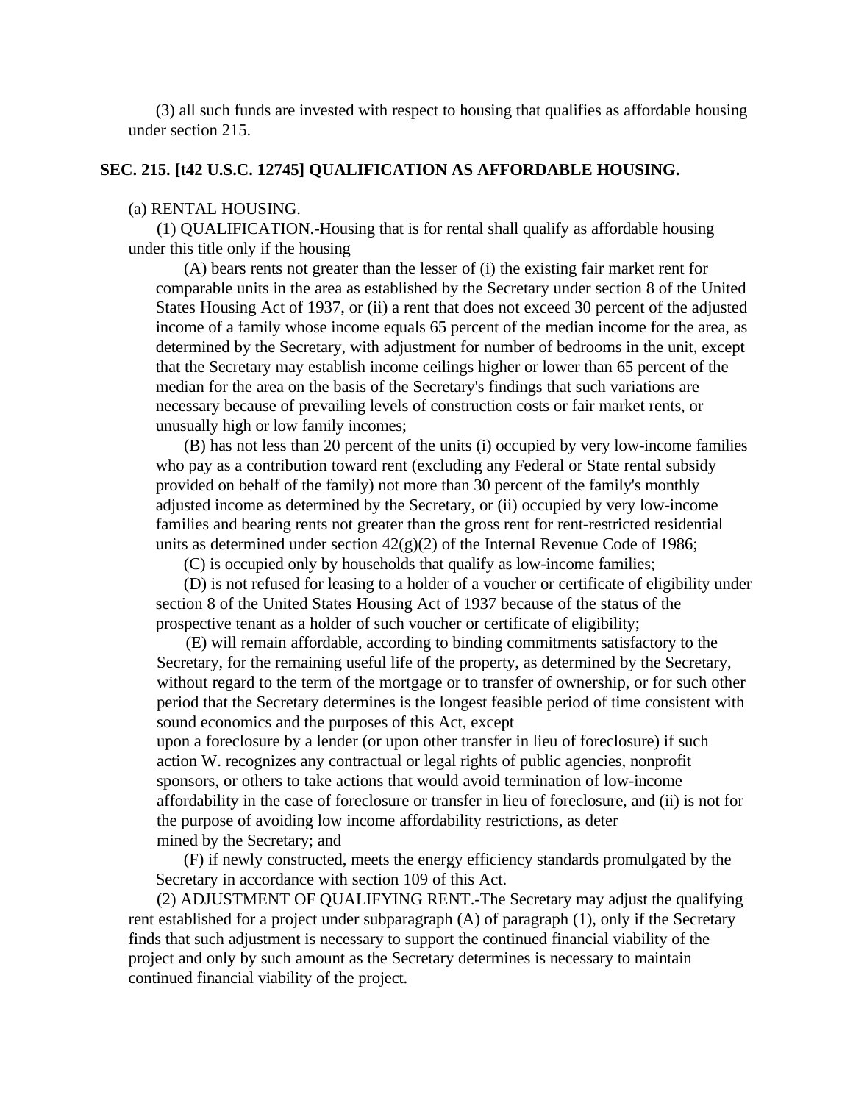(3) all such funds are invested with respect to housing that qualifies as affordable housing under section 215.

## **SEC. 215. [t42 U.S.C. 12745] QUALIFICATION AS AFFORDABLE HOUSING.**

#### (a) RENTAL HOUSING.

(1) QUALIFICATION.-Housing that is for rental shall qualify as affordable housing under this title only if the housing

(A) bears rents not greater than the lesser of (i) the existing fair market rent for comparable units in the area as established by the Secretary under section 8 of the United States Housing Act of 1937, or (ii) a rent that does not exceed 30 percent of the adjusted income of a family whose income equals 65 percent of the median income for the area, as determined by the Secretary, with adjustment for number of bedrooms in the unit, except that the Secretary may establish income ceilings higher or lower than 65 percent of the median for the area on the basis of the Secretary's findings that such variations are necessary because of prevailing levels of construction costs or fair market rents, or unusually high or low family incomes;

(B) has not less than 20 percent of the units (i) occupied by very low-income families who pay as a contribution toward rent (excluding any Federal or State rental subsidy provided on behalf of the family) not more than 30 percent of the family's monthly adjusted income as determined by the Secretary, or (ii) occupied by very low-income families and bearing rents not greater than the gross rent for rent-restricted residential units as determined under section  $42(g)(2)$  of the Internal Revenue Code of 1986;

(C) is occupied only by households that qualify as low-income families;

(D) is not refused for leasing to a holder of a voucher or certificate of eligibility under section 8 of the United States Housing Act of 1937 because of the status of the prospective tenant as a holder of such voucher or certificate of eligibility;

(E) will remain affordable, according to binding commitments satisfactory to the Secretary, for the remaining useful life of the property, as determined by the Secretary, without regard to the term of the mortgage or to transfer of ownership, or for such other period that the Secretary determines is the longest feasible period of time consistent with sound economics and the purposes of this Act, except upon a foreclosure by a lender (or upon other transfer in lieu of foreclosure) if such

action W. recognizes any contractual or legal rights of public agencies, nonprofit sponsors, or others to take actions that would avoid termination of low-income affordability in the case of foreclosure or transfer in lieu of foreclosure, and (ii) is not for the purpose of avoiding low income affordability restrictions, as deter mined by the Secretary; and

(F) if newly constructed, meets the energy efficiency standards promulgated by the Secretary in accordance with section 109 of this Act.

(2) ADJUSTMENT OF QUALIFYING RENT.-The Secretary may adjust the qualifying rent established for a project under subparagraph (A) of paragraph (1), only if the Secretary finds that such adjustment is necessary to support the continued financial viability of the project and only by such amount as the Secretary determines is necessary to maintain continued financial viability of the project.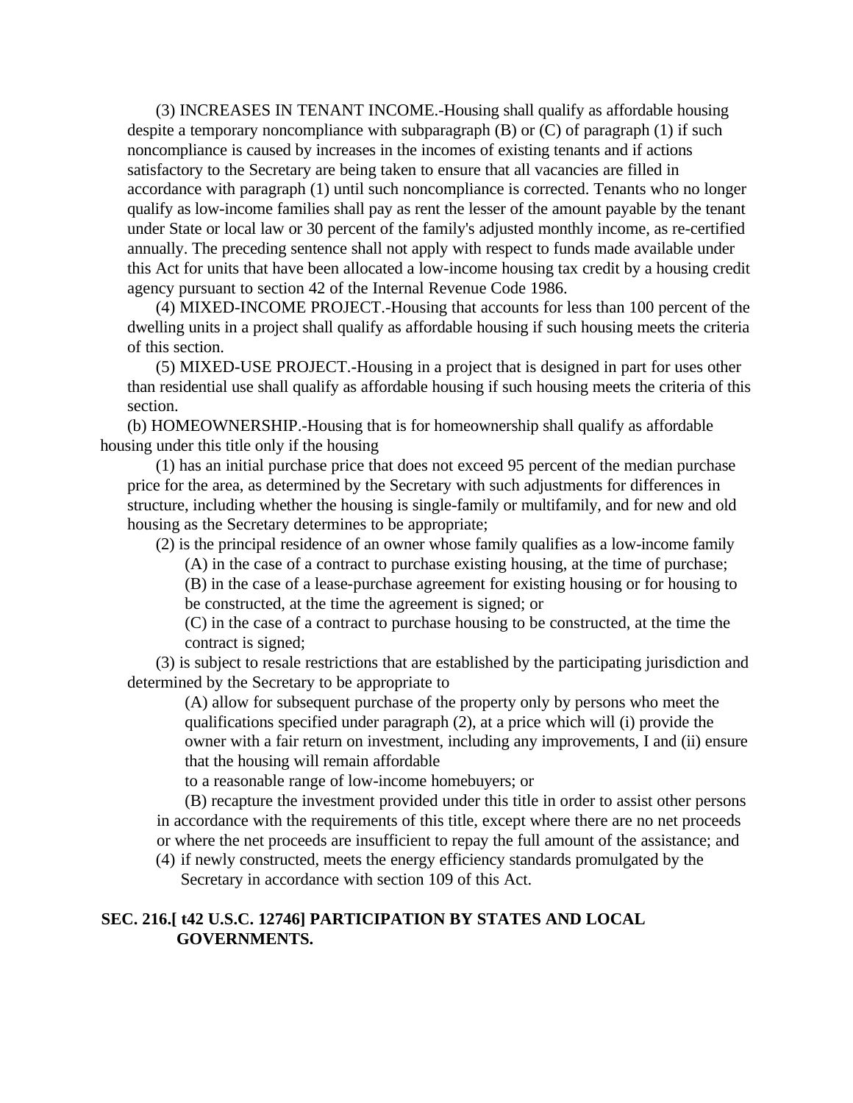(3) INCREASES IN TENANT INCOME.-Housing shall qualify as affordable housing despite a temporary noncompliance with subparagraph (B) or (C) of paragraph (1) if such noncompliance is caused by increases in the incomes of existing tenants and if actions satisfactory to the Secretary are being taken to ensure that all vacancies are filled in accordance with paragraph (1) until such noncompliance is corrected. Tenants who no longer qualify as low-income families shall pay as rent the lesser of the amount payable by the tenant under State or local law or 30 percent of the family's adjusted monthly income, as re-certified annually. The preceding sentence shall not apply with respect to funds made available under this Act for units that have been allocated a low-income housing tax credit by a housing credit agency pursuant to section 42 of the Internal Revenue Code 1986.

(4) MIXED-INCOME PROJECT.-Housing that accounts for less than 100 percent of the dwelling units in a project shall qualify as affordable housing if such housing meets the criteria of this section.

(5) MIXED-USE PROJECT.-Housing in a project that is designed in part for uses other than residential use shall qualify as affordable housing if such housing meets the criteria of this section.

(b) HOMEOWNERSHIP.-Housing that is for homeownership shall qualify as affordable housing under this title only if the housing

(1) has an initial purchase price that does not exceed 95 percent of the median purchase price for the area, as determined by the Secretary with such adjustments for differences in structure, including whether the housing is single-family or multifamily, and for new and old housing as the Secretary determines to be appropriate;

(2) is the principal residence of an owner whose family qualifies as a low-income family

(A) in the case of a contract to purchase existing housing, at the time of purchase;

(B) in the case of a lease-purchase agreement for existing housing or for housing to be constructed, at the time the agreement is signed; or

(C) in the case of a contract to purchase housing to be constructed, at the time the contract is signed;

(3) is subject to resale restrictions that are established by the participating jurisdiction and determined by the Secretary to be appropriate to

(A) allow for subsequent purchase of the property only by persons who meet the qualifications specified under paragraph (2), at a price which will (i) provide the owner with a fair return on investment, including any improvements, I and (ii) ensure that the housing will remain affordable

to a reasonable range of low-income homebuyers; or

(B) recapture the investment provided under this title in order to assist other persons in accordance with the requirements of this title, except where there are no net proceeds or where the net proceeds are insufficient to repay the full amount of the assistance; and

(4) if newly constructed, meets the energy efficiency standards promulgated by the Secretary in accordance with section 109 of this Act.

# **SEC. 216.[ t42 U.S.C. 12746] PARTICIPATION BY STATES AND LOCAL GOVERNMENTS.**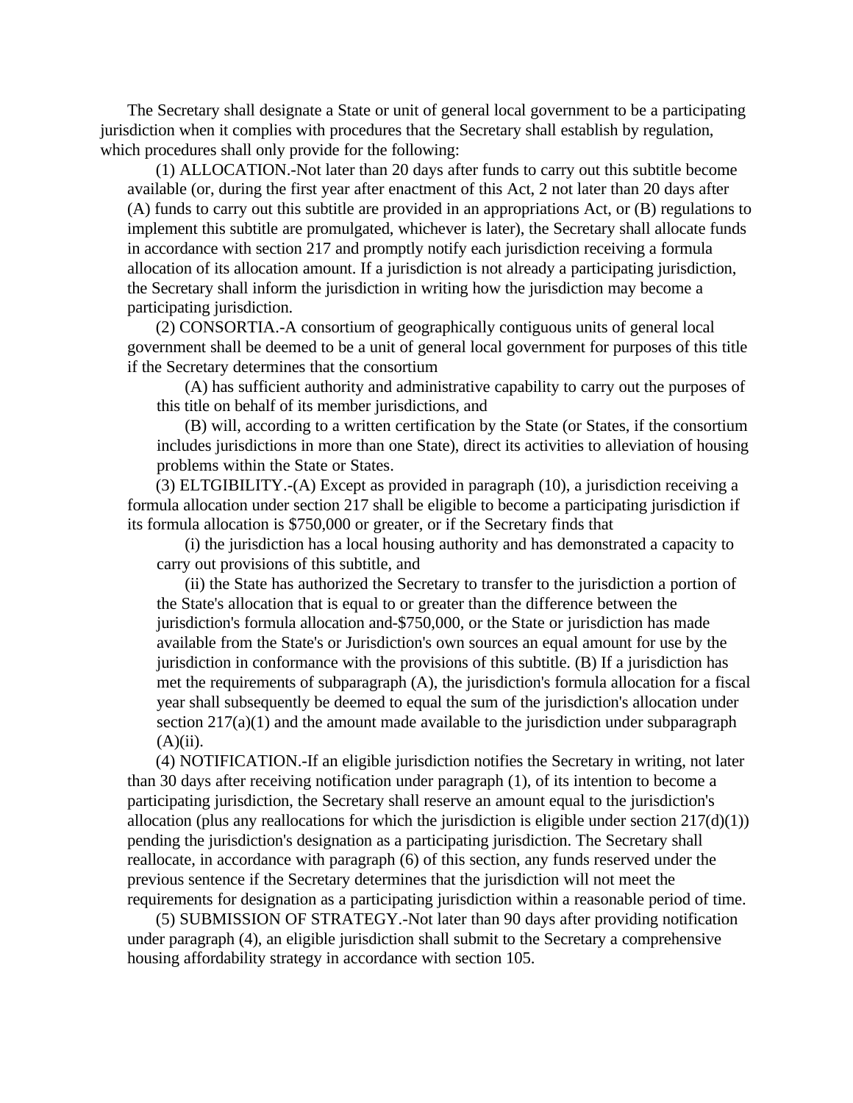The Secretary shall designate a State or unit of general local government to be a participating jurisdiction when it complies with procedures that the Secretary shall establish by regulation, which procedures shall only provide for the following:

(1) ALLOCATION.-Not later than 20 days after funds to carry out this subtitle become available (or, during the first year after enactment of this Act, 2 not later than 20 days after (A) funds to carry out this subtitle are provided in an appropriations Act, or (B) regulations to implement this subtitle are promulgated, whichever is later), the Secretary shall allocate funds in accordance with section 217 and promptly notify each jurisdiction receiving a formula allocation of its allocation amount. If a jurisdiction is not already a participating jurisdiction, the Secretary shall inform the jurisdiction in writing how the jurisdiction may become a participating jurisdiction.

(2) CONSORTIA.-A consortium of geographically contiguous units of general local government shall be deemed to be a unit of general local government for purposes of this title if the Secretary determines that the consortium

(A) has sufficient authority and administrative capability to carry out the purposes of this title on behalf of its member jurisdictions, and

(B) will, according to a written certification by the State (or States, if the consortium includes jurisdictions in more than one State), direct its activities to alleviation of housing problems within the State or States.

(3) ELTGIBILITY.-(A) Except as provided in paragraph (10), a jurisdiction receiving a formula allocation under section 217 shall be eligible to become a participating jurisdiction if its formula allocation is \$750,000 or greater, or if the Secretary finds that

(i) the jurisdiction has a local housing authority and has demonstrated a capacity to carry out provisions of this subtitle, and

(ii) the State has authorized the Secretary to transfer to the jurisdiction a portion of the State's allocation that is equal to or greater than the difference between the jurisdiction's formula allocation and-\$750,000, or the State or jurisdiction has made available from the State's or Jurisdiction's own sources an equal amount for use by the jurisdiction in conformance with the provisions of this subtitle. (B) If a jurisdiction has met the requirements of subparagraph (A), the jurisdiction's formula allocation for a fiscal year shall subsequently be deemed to equal the sum of the jurisdiction's allocation under section 217(a)(1) and the amount made available to the jurisdiction under subparagraph  $(A)(ii)$ .

(4) NOTIFICATION.-If an eligible jurisdiction notifies the Secretary in writing, not later than 30 days after receiving notification under paragraph (1), of its intention to become a participating jurisdiction, the Secretary shall reserve an amount equal to the jurisdiction's allocation (plus any reallocations for which the jurisdiction is eligible under section  $217(d)(1)$ ) pending the jurisdiction's designation as a participating jurisdiction. The Secretary shall reallocate, in accordance with paragraph (6) of this section, any funds reserved under the previous sentence if the Secretary determines that the jurisdiction will not meet the requirements for designation as a participating jurisdiction within a reasonable period of time.

(5) SUBMISSION OF STRATEGY.-Not later than 90 days after providing notification under paragraph (4), an eligible jurisdiction shall submit to the Secretary a comprehensive housing affordability strategy in accordance with section 105.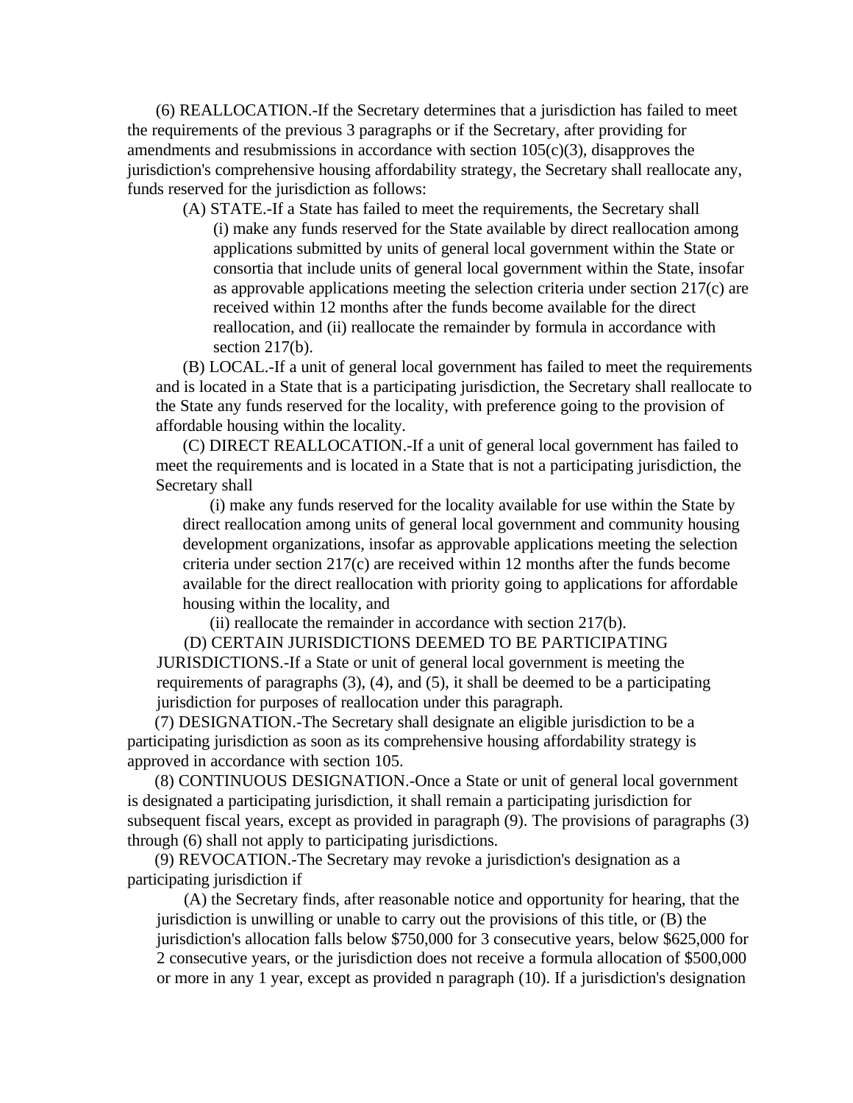(6) REALLOCATION.-If the Secretary determines that a jurisdiction has failed to meet the requirements of the previous 3 paragraphs or if the Secretary, after providing for amendments and resubmissions in accordance with section 105(c)(3), disapproves the jurisdiction's comprehensive housing affordability strategy, the Secretary shall reallocate any, funds reserved for the jurisdiction as follows:

(A) STATE.-If a State has failed to meet the requirements, the Secretary shall (i) make any funds reserved for the State available by direct reallocation among applications submitted by units of general local government within the State or consortia that include units of general local government within the State, insofar as approvable applications meeting the selection criteria under section 217(c) are received within 12 months after the funds become available for the direct reallocation, and (ii) reallocate the remainder by formula in accordance with section 217(b).

(B) LOCAL.-If a unit of general local government has failed to meet the requirements and is located in a State that is a participating jurisdiction, the Secretary shall reallocate to the State any funds reserved for the locality, with preference going to the provision of affordable housing within the locality.

(C) DIRECT REALLOCATION.-If a unit of general local government has failed to meet the requirements and is located in a State that is not a participating jurisdiction, the Secretary shall

(i) make any funds reserved for the locality available for use within the State by direct reallocation among units of general local government and community housing development organizations, insofar as approvable applications meeting the selection criteria under section 217(c) are received within 12 months after the funds become available for the direct reallocation with priority going to applications for affordable housing within the locality, and

(ii) reallocate the remainder in accordance with section 217(b).

(D) CERTAIN JURISDICTIONS DEEMED TO BE PARTICIPATING JURISDICTIONS.-If a State or unit of general local government is meeting the requirements of paragraphs (3), (4), and (5), it shall be deemed to be a participating jurisdiction for purposes of reallocation under this paragraph.

(7) DESIGNATION.-The Secretary shall designate an eligible jurisdiction to be a participating jurisdiction as soon as its comprehensive housing affordability strategy is approved in accordance with section 105.

(8) CONTINUOUS DESIGNATION.-Once a State or unit of general local government is designated a participating jurisdiction, it shall remain a participating jurisdiction for subsequent fiscal years, except as provided in paragraph (9). The provisions of paragraphs (3) through (6) shall not apply to participating jurisdictions.

(9) REVOCATION.-The Secretary may revoke a jurisdiction's designation as a participating jurisdiction if

(A) the Secretary finds, after reasonable notice and opportunity for hearing, that the jurisdiction is unwilling or unable to carry out the provisions of this title, or (B) the jurisdiction's allocation falls below \$750,000 for 3 consecutive years, below \$625,000 for 2 consecutive years, or the jurisdiction does not receive a formula allocation of \$500,000 or more in any 1 year, except as provided n paragraph (10). If a jurisdiction's designation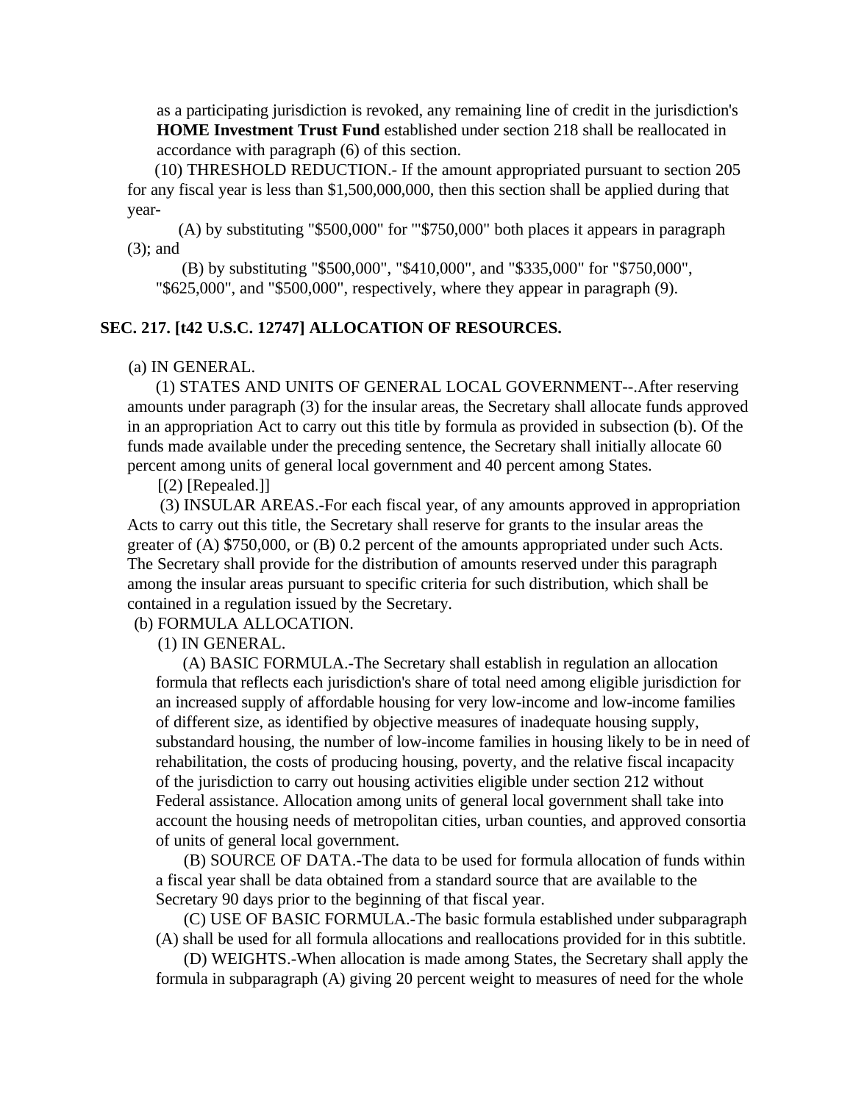as a participating jurisdiction is revoked, any remaining line of credit in the jurisdiction's **HOME Investment Trust Fund** established under section 218 shall be reallocated in accordance with paragraph (6) of this section.

(10) THRESHOLD REDUCTION.- If the amount appropriated pursuant to section 205 for any fiscal year is less than \$1,500,000,000, then this section shall be applied during that year-

 (A) by substituting "\$500,000" for '"\$750,000" both places it appears in paragraph (3); and

 (B) by substituting "\$500,000", "\$410,000", and "\$335,000" for "\$750,000", "\$625,000", and "\$500,000", respectively, where they appear in paragraph (9).

## **SEC. 217. [t42 U.S.C. 12747] ALLOCATION OF RESOURCES.**

## (a) IN GENERAL.

(1) STATES AND UNITS OF GENERAL LOCAL GOVERNMENT--.After reserving amounts under paragraph (3) for the insular areas, the Secretary shall allocate funds approved in an appropriation Act to carry out this title by formula as provided in subsection (b). Of the funds made available under the preceding sentence, the Secretary shall initially allocate 60 percent among units of general local government and 40 percent among States.

 $[(2)$  [Repealed.]]

 (3) INSULAR AREAS.-For each fiscal year, of any amounts approved in appropriation Acts to carry out this title, the Secretary shall reserve for grants to the insular areas the greater of (A) \$750,000, or (B) 0.2 percent of the amounts appropriated under such Acts. The Secretary shall provide for the distribution of amounts reserved under this paragraph among the insular areas pursuant to specific criteria for such distribution, which shall be contained in a regulation issued by the Secretary.

(b) FORMULA ALLOCATION.

(1) IN GENERAL.

(A) BASIC FORMULA.-The Secretary shall establish in regulation an allocation formula that reflects each jurisdiction's share of total need among eligible jurisdiction for an increased supply of affordable housing for very low-income and low-income families of different size, as identified by objective measures of inadequate housing supply, substandard housing, the number of low-income families in housing likely to be in need of rehabilitation, the costs of producing housing, poverty, and the relative fiscal incapacity of the jurisdiction to carry out housing activities eligible under section 212 without Federal assistance. Allocation among units of general local government shall take into account the housing needs of metropolitan cities, urban counties, and approved consortia of units of general local government.

(B) SOURCE OF DATA.-The data to be used for formula allocation of funds within a fiscal year shall be data obtained from a standard source that are available to the Secretary 90 days prior to the beginning of that fiscal year.

(C) USE OF BASIC FORMULA.-The basic formula established under subparagraph (A) shall be used for all formula allocations and reallocations provided for in this subtitle.

(D) WEIGHTS.-When allocation is made among States, the Secretary shall apply the formula in subparagraph (A) giving 20 percent weight to measures of need for the whole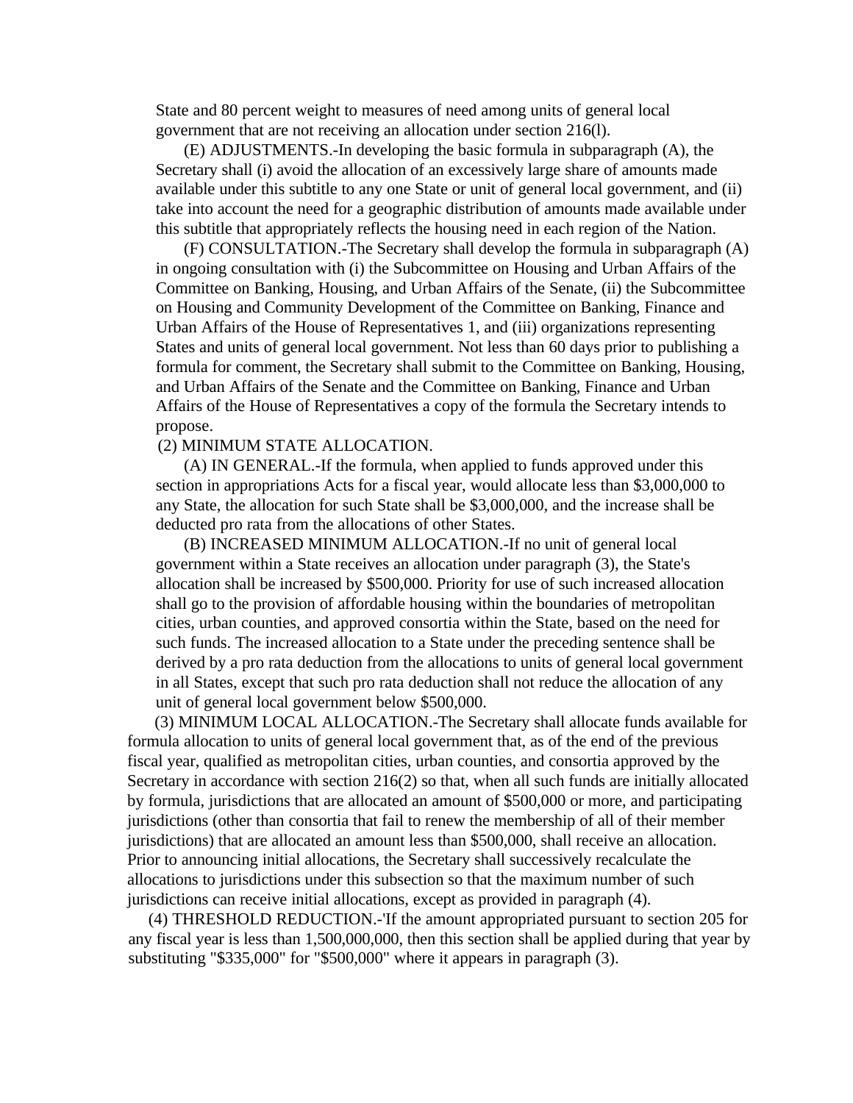State and 80 percent weight to measures of need among units of general local government that are not receiving an allocation under section 216(l).

(E) ADJUSTMENTS.-In developing the basic formula in subparagraph (A), the Secretary shall (i) avoid the allocation of an excessively large share of amounts made available under this subtitle to any one State or unit of general local government, and (ii) take into account the need for a geographic distribution of amounts made available under this subtitle that appropriately reflects the housing need in each region of the Nation.

(F) CONSULTATION.-The Secretary shall develop the formula in subparagraph (A) in ongoing consultation with (i) the Subcommittee on Housing and Urban Affairs of the Committee on Banking, Housing, and Urban Affairs of the Senate, (ii) the Subcommittee on Housing and Community Development of the Committee on Banking, Finance and Urban Affairs of the House of Representatives 1, and (iii) organizations representing States and units of general local government. Not less than 60 days prior to publishing a formula for comment, the Secretary shall submit to the Committee on Banking, Housing, and Urban Affairs of the Senate and the Committee on Banking, Finance and Urban Affairs of the House of Representatives a copy of the formula the Secretary intends to propose.

## (2) MINIMUM STATE ALLOCATION.

(A) IN GENERAL.-If the formula, when applied to funds approved under this section in appropriations Acts for a fiscal year, would allocate less than \$3,000,000 to any State, the allocation for such State shall be \$3,000,000, and the increase shall be deducted pro rata from the allocations of other States.

(B) INCREASED MINIMUM ALLOCATION.-If no unit of general local government within a State receives an allocation under paragraph (3), the State's allocation shall be increased by \$500,000. Priority for use of such increased allocation shall go to the provision of affordable housing within the boundaries of metropolitan cities, urban counties, and approved consortia within the State, based on the need for such funds. The increased allocation to a State under the preceding sentence shall be derived by a pro rata deduction from the allocations to units of general local government in all States, except that such pro rata deduction shall not reduce the allocation of any unit of general local government below \$500,000.

(3) MINIMUM LOCAL ALLOCATION.-The Secretary shall allocate funds available for formula allocation to units of general local government that, as of the end of the previous fiscal year, qualified as metropolitan cities, urban counties, and consortia approved by the Secretary in accordance with section 216(2) so that, when all such funds are initially allocated by formula, jurisdictions that are allocated an amount of \$500,000 or more, and participating jurisdictions (other than consortia that fail to renew the membership of all of their member jurisdictions) that are allocated an amount less than \$500,000, shall receive an allocation. Prior to announcing initial allocations, the Secretary shall successively recalculate the allocations to jurisdictions under this subsection so that the maximum number of such jurisdictions can receive initial allocations, except as provided in paragraph (4).

(4) THRESHOLD REDUCTION.-'If the amount appropriated pursuant to section 205 for any fiscal year is less than 1,500,000,000, then this section shall be applied during that year by substituting "\$335,000" for "\$500,000" where it appears in paragraph (3).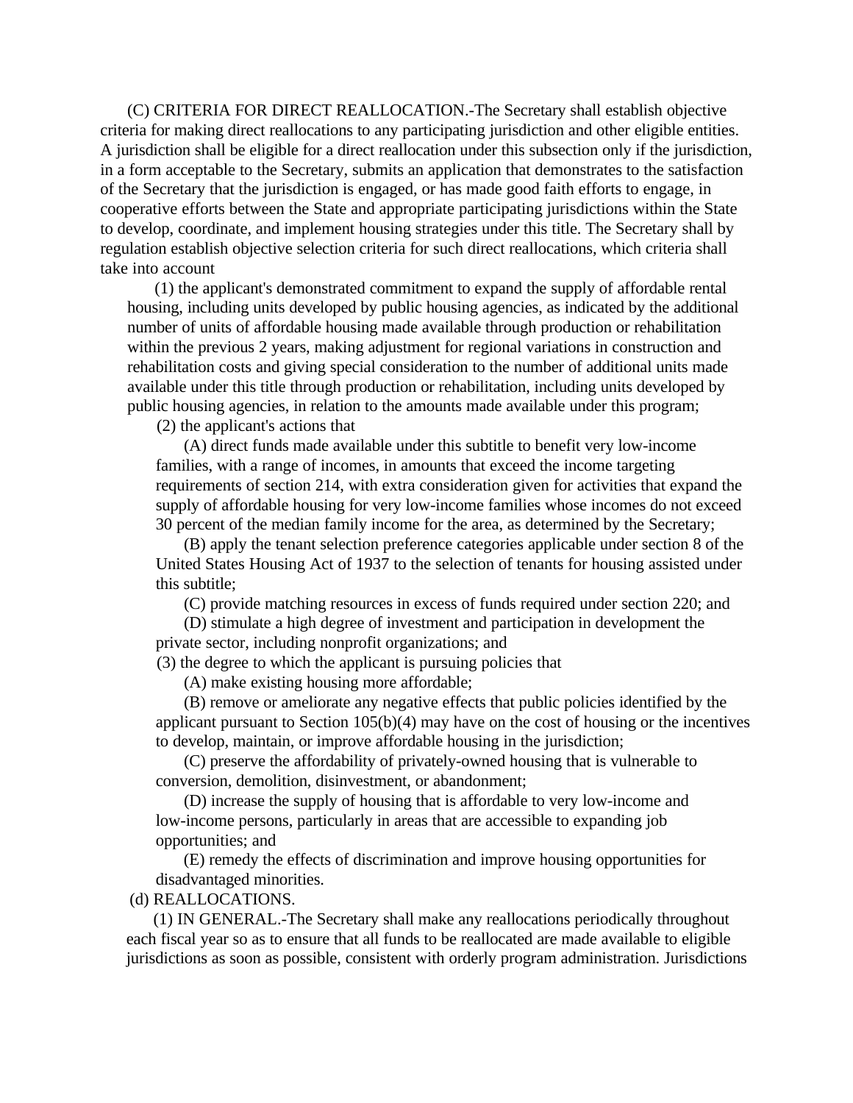(C) CRITERIA FOR DIRECT REALLOCATION.-The Secretary shall establish objective criteria for making direct reallocations to any participating jurisdiction and other eligible entities. A jurisdiction shall be eligible for a direct reallocation under this subsection only if the jurisdiction, in a form acceptable to the Secretary, submits an application that demonstrates to the satisfaction of the Secretary that the jurisdiction is engaged, or has made good faith efforts to engage, in cooperative efforts between the State and appropriate participating jurisdictions within the State to develop, coordinate, and implement housing strategies under this title. The Secretary shall by regulation establish objective selection criteria for such direct reallocations, which criteria shall take into account

(1) the applicant's demonstrated commitment to expand the supply of affordable rental housing, including units developed by public housing agencies, as indicated by the additional number of units of affordable housing made available through production or rehabilitation within the previous 2 years, making adjustment for regional variations in construction and rehabilitation costs and giving special consideration to the number of additional units made available under this title through production or rehabilitation, including units developed by public housing agencies, in relation to the amounts made available under this program;

(2) the applicant's actions that

(A) direct funds made available under this subtitle to benefit very low-income families, with a range of incomes, in amounts that exceed the income targeting requirements of section 214, with extra consideration given for activities that expand the supply of affordable housing for very low-income families whose incomes do not exceed 30 percent of the median family income for the area, as determined by the Secretary;

(B) apply the tenant selection preference categories applicable under section 8 of the United States Housing Act of 1937 to the selection of tenants for housing assisted under this subtitle;

(C) provide matching resources in excess of funds required under section 220; and

(D) stimulate a high degree of investment and participation in development the private sector, including nonprofit organizations; and

(3) the degree to which the applicant is pursuing policies that

(A) make existing housing more affordable;

(B) remove or ameliorate any negative effects that public policies identified by the applicant pursuant to Section 105(b)(4) may have on the cost of housing or the incentives to develop, maintain, or improve affordable housing in the jurisdiction;

(C) preserve the affordability of privately-owned housing that is vulnerable to conversion, demolition, disinvestment, or abandonment;

(D) increase the supply of housing that is affordable to very low-income and low-income persons, particularly in areas that are accessible to expanding job opportunities; and

(E) remedy the effects of discrimination and improve housing opportunities for disadvantaged minorities.

## (d) REALLOCATIONS.

(1) IN GENERAL.-The Secretary shall make any reallocations periodically throughout each fiscal year so as to ensure that all funds to be reallocated are made available to eligible jurisdictions as soon as possible, consistent with orderly program administration. Jurisdictions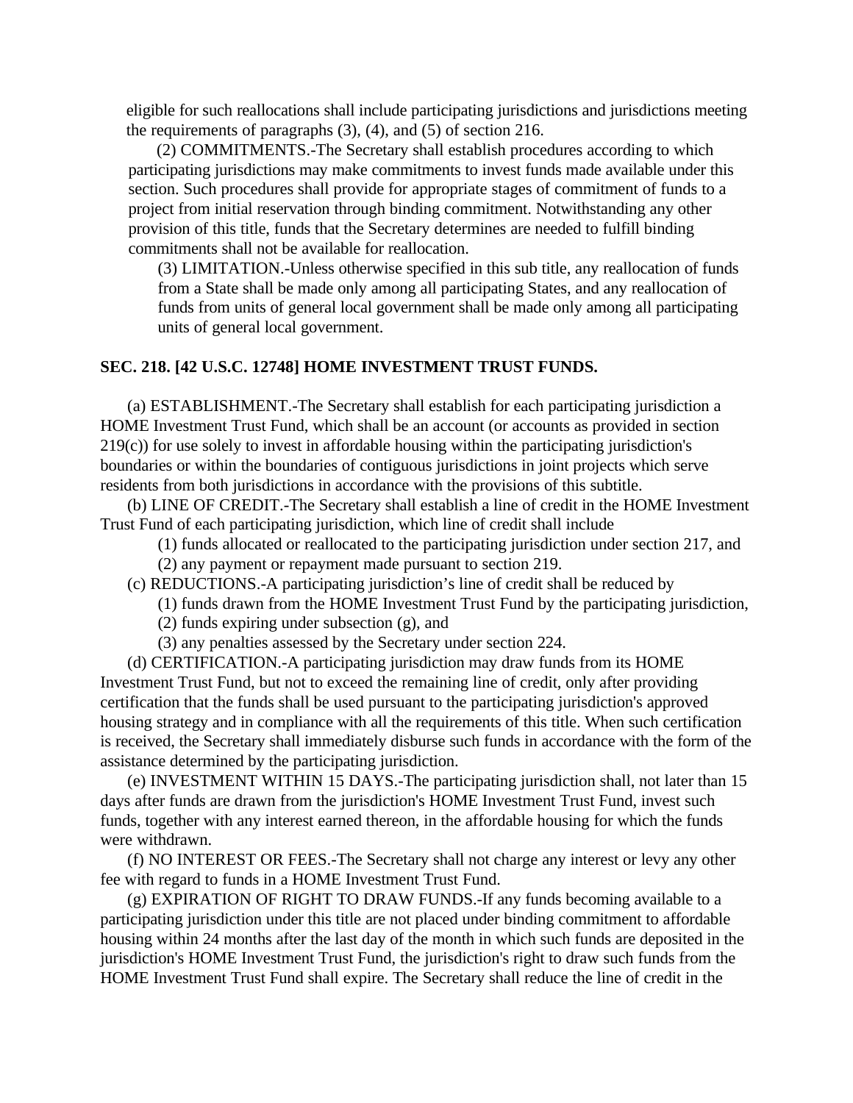eligible for such reallocations shall include participating jurisdictions and jurisdictions meeting the requirements of paragraphs (3), (4), and (5) of section 216.

(2) COMMITMENTS.-The Secretary shall establish procedures according to which participating jurisdictions may make commitments to invest funds made available under this section. Such procedures shall provide for appropriate stages of commitment of funds to a project from initial reservation through binding commitment. Notwithstanding any other provision of this title, funds that the Secretary determines are needed to fulfill binding commitments shall not be available for reallocation.

(3) LIMITATION.-Unless otherwise specified in this sub title, any reallocation of funds from a State shall be made only among all participating States, and any reallocation of funds from units of general local government shall be made only among all participating units of general local government.

## **SEC. 218. [42 U.S.C. 12748] HOME INVESTMENT TRUST FUNDS.**

(a) ESTABLISHMENT.-The Secretary shall establish for each participating jurisdiction a HOME Investment Trust Fund, which shall be an account (or accounts as provided in section 219(c)) for use solely to invest in affordable housing within the participating jurisdiction's boundaries or within the boundaries of contiguous jurisdictions in joint projects which serve residents from both jurisdictions in accordance with the provisions of this subtitle.

(b) LINE OF CREDIT.-The Secretary shall establish a line of credit in the HOME Investment Trust Fund of each participating jurisdiction, which line of credit shall include

(1) funds allocated or reallocated to the participating jurisdiction under section 217, and

(2) any payment or repayment made pursuant to section 219.

(c) REDUCTIONS.-A participating jurisdiction's line of credit shall be reduced by

(1) funds drawn from the HOME Investment Trust Fund by the participating jurisdiction,

(2) funds expiring under subsection (g), and

(3) any penalties assessed by the Secretary under section 224.

(d) CERTIFICATION.-A participating jurisdiction may draw funds from its HOME Investment Trust Fund, but not to exceed the remaining line of credit, only after providing certification that the funds shall be used pursuant to the participating jurisdiction's approved housing strategy and in compliance with all the requirements of this title. When such certification is received, the Secretary shall immediately disburse such funds in accordance with the form of the assistance determined by the participating jurisdiction.

(e) INVESTMENT WITHIN 15 DAYS.-The participating jurisdiction shall, not later than 15 days after funds are drawn from the jurisdiction's HOME Investment Trust Fund, invest such funds, together with any interest earned thereon, in the affordable housing for which the funds were withdrawn.

(f) NO INTEREST OR FEES.-The Secretary shall not charge any interest or levy any other fee with regard to funds in a HOME Investment Trust Fund.

(g) EXPIRATION OF RIGHT TO DRAW FUNDS.-If any funds becoming available to a participating jurisdiction under this title are not placed under binding commitment to affordable housing within 24 months after the last day of the month in which such funds are deposited in the jurisdiction's HOME Investment Trust Fund, the jurisdiction's right to draw such funds from the HOME Investment Trust Fund shall expire. The Secretary shall reduce the line of credit in the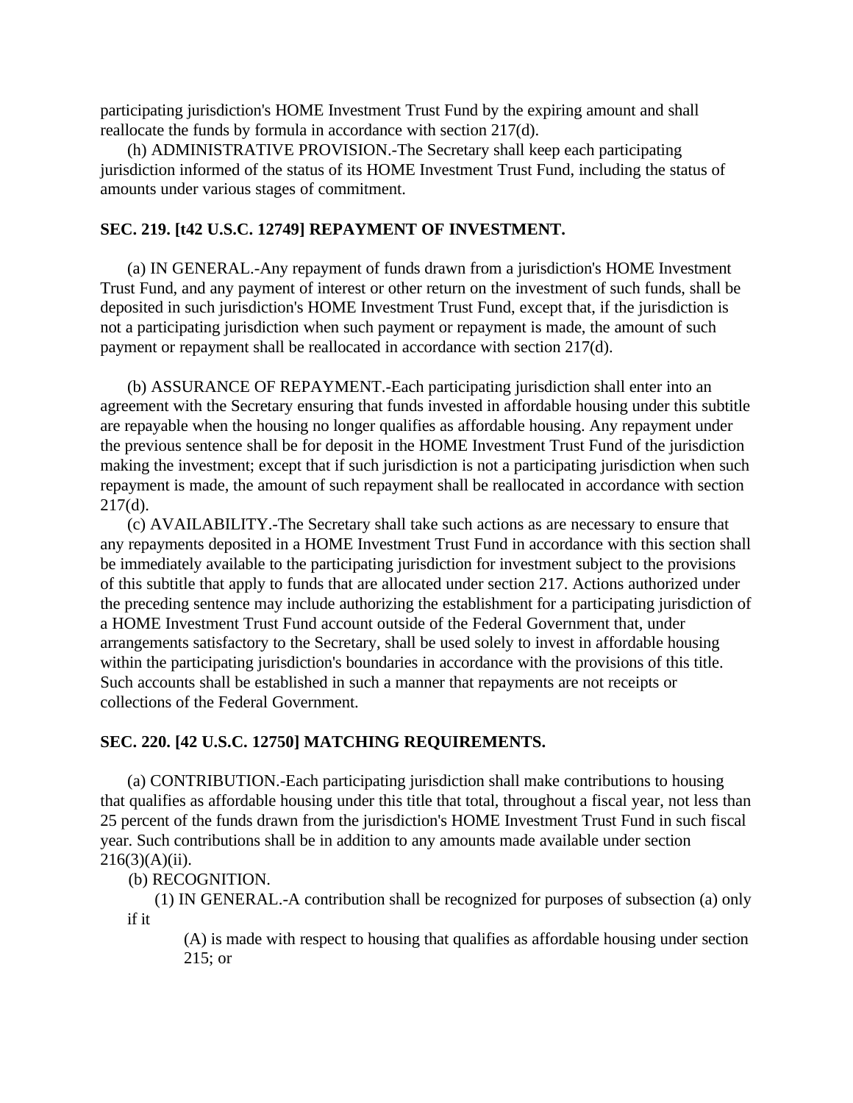participating jurisdiction's HOME Investment Trust Fund by the expiring amount and shall reallocate the funds by formula in accordance with section 217(d).

(h) ADMINISTRATIVE PROVISION.-The Secretary shall keep each participating jurisdiction informed of the status of its HOME Investment Trust Fund, including the status of amounts under various stages of commitment.

## **SEC. 219. [t42 U.S.C. 12749] REPAYMENT OF INVESTMENT.**

(a) IN GENERAL.-Any repayment of funds drawn from a jurisdiction's HOME Investment Trust Fund, and any payment of interest or other return on the investment of such funds, shall be deposited in such jurisdiction's HOME Investment Trust Fund, except that, if the jurisdiction is not a participating jurisdiction when such payment or repayment is made, the amount of such payment or repayment shall be reallocated in accordance with section 217(d).

(b) ASSURANCE OF REPAYMENT.-Each participating jurisdiction shall enter into an agreement with the Secretary ensuring that funds invested in affordable housing under this subtitle are repayable when the housing no longer qualifies as affordable housing. Any repayment under the previous sentence shall be for deposit in the HOME Investment Trust Fund of the jurisdiction making the investment; except that if such jurisdiction is not a participating jurisdiction when such repayment is made, the amount of such repayment shall be reallocated in accordance with section  $217(d)$ .

(c) AVAILABILITY.-The Secretary shall take such actions as are necessary to ensure that any repayments deposited in a HOME Investment Trust Fund in accordance with this section shall be immediately available to the participating jurisdiction for investment subject to the provisions of this subtitle that apply to funds that are allocated under section 217. Actions authorized under the preceding sentence may include authorizing the establishment for a participating jurisdiction of a HOME Investment Trust Fund account outside of the Federal Government that, under arrangements satisfactory to the Secretary, shall be used solely to invest in affordable housing within the participating jurisdiction's boundaries in accordance with the provisions of this title. Such accounts shall be established in such a manner that repayments are not receipts or collections of the Federal Government.

## **SEC. 220. [42 U.S.C. 12750] MATCHING REQUIREMENTS.**

(a) CONTRIBUTION.-Each participating jurisdiction shall make contributions to housing that qualifies as affordable housing under this title that total, throughout a fiscal year, not less than 25 percent of the funds drawn from the jurisdiction's HOME Investment Trust Fund in such fiscal year. Such contributions shall be in addition to any amounts made available under section  $216(3)(A)(ii)$ .

## (b) RECOGNITION.

(1) IN GENERAL.-A contribution shall be recognized for purposes of subsection (a) only if it

(A) is made with respect to housing that qualifies as affordable housing under section 215; or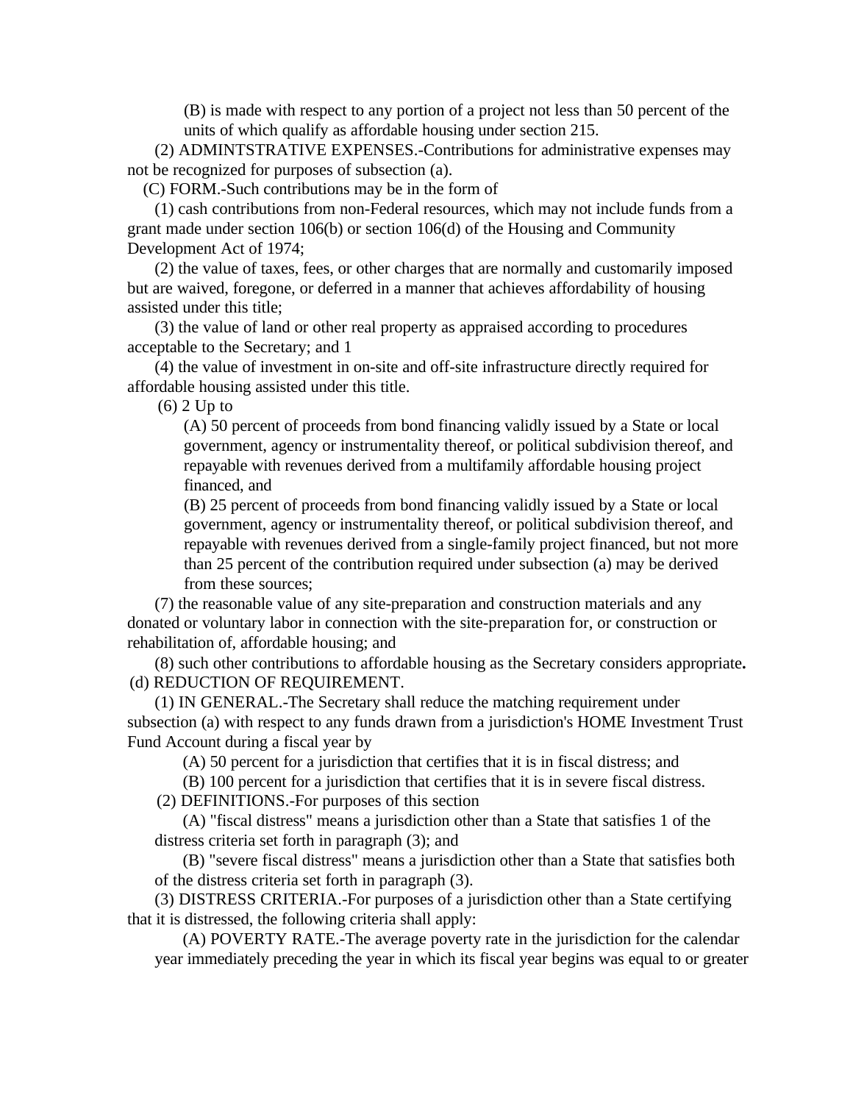(B) is made with respect to any portion of a project not less than 50 percent of the units of which qualify as affordable housing under section 215.

(2) ADMINTSTRATIVE EXPENSES.-Contributions for administrative expenses may not be recognized for purposes of subsection (a).

(C) FORM.-Such contributions may be in the form of

(1) cash contributions from non-Federal resources, which may not include funds from a grant made under section 106(b) or section 106(d) of the Housing and Community Development Act of 1974;

(2) the value of taxes, fees, or other charges that are normally and customarily imposed but are waived, foregone, or deferred in a manner that achieves affordability of housing assisted under this title;

(3) the value of land or other real property as appraised according to procedures acceptable to the Secretary; and 1

(4) the value of investment in on-site and off-site infrastructure directly required for affordable housing assisted under this title.

(6) 2 Up to

(A) 50 percent of proceeds from bond financing validly issued by a State or local government, agency or instrumentality thereof, or political subdivision thereof, and repayable with revenues derived from a multifamily affordable housing project financed, and

(B) 25 percent of proceeds from bond financing validly issued by a State or local government, agency or instrumentality thereof, or political subdivision thereof, and repayable with revenues derived from a single-family project financed, but not more than 25 percent of the contribution required under subsection (a) may be derived from these sources;

(7) the reasonable value of any site-preparation and construction materials and any donated or voluntary labor in connection with the site-preparation for, or construction or rehabilitation of, affordable housing; and

(8) such other contributions to affordable housing as the Secretary considers appropriate**.** (d) REDUCTION OF REQUIREMENT.

(1) IN GENERAL.-The Secretary shall reduce the matching requirement under subsection (a) with respect to any funds drawn from a jurisdiction's HOME Investment Trust Fund Account during a fiscal year by

(A) 50 percent for a jurisdiction that certifies that it is in fiscal distress; and

(B) 100 percent for a jurisdiction that certifies that it is in severe fiscal distress.

(2) DEFINITIONS.-For purposes of this section

(A) "fiscal distress" means a jurisdiction other than a State that satisfies 1 of the distress criteria set forth in paragraph (3); and

(B) "severe fiscal distress" means a jurisdiction other than a State that satisfies both of the distress criteria set forth in paragraph (3).

(3) DISTRESS CRITERIA.-For purposes of a jurisdiction other than a State certifying that it is distressed, the following criteria shall apply:

(A) POVERTY RATE.-The average poverty rate in the jurisdiction for the calendar year immediately preceding the year in which its fiscal year begins was equal to or greater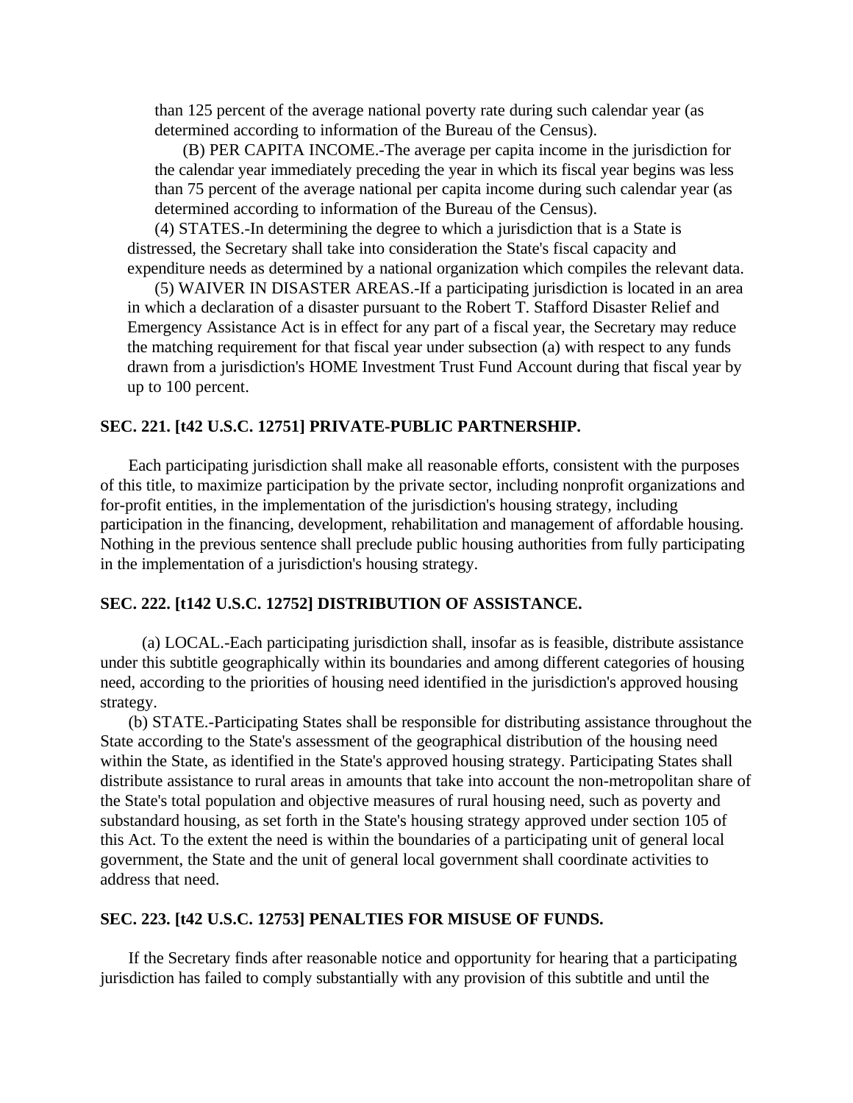than 125 percent of the average national poverty rate during such calendar year (as determined according to information of the Bureau of the Census).

(B) PER CAPITA INCOME.-The average per capita income in the jurisdiction for the calendar year immediately preceding the year in which its fiscal year begins was less than 75 percent of the average national per capita income during such calendar year (as determined according to information of the Bureau of the Census).

(4) STATES.-In determining the degree to which a jurisdiction that is a State is distressed, the Secretary shall take into consideration the State's fiscal capacity and expenditure needs as determined by a national organization which compiles the relevant data.

(5) WAIVER IN DISASTER AREAS.-If a participating jurisdiction is located in an area in which a declaration of a disaster pursuant to the Robert T. Stafford Disaster Relief and Emergency Assistance Act is in effect for any part of a fiscal year, the Secretary may reduce the matching requirement for that fiscal year under subsection (a) with respect to any funds drawn from a jurisdiction's HOME Investment Trust Fund Account during that fiscal year by up to 100 percent.

## **SEC. 221. [t42 U.S.C. 12751] PRIVATE-PUBLIC PARTNERSHIP.**

Each participating jurisdiction shall make all reasonable efforts, consistent with the purposes of this title, to maximize participation by the private sector, including nonprofit organizations and for-profit entities, in the implementation of the jurisdiction's housing strategy, including participation in the financing, development, rehabilitation and management of affordable housing. Nothing in the previous sentence shall preclude public housing authorities from fully participating in the implementation of a jurisdiction's housing strategy.

#### **SEC. 222. [t142 U.S.C. 12752] DISTRIBUTION OF ASSISTANCE.**

(a) LOCAL.-Each participating jurisdiction shall, insofar as is feasible, distribute assistance under this subtitle geographically within its boundaries and among different categories of housing need, according to the priorities of housing need identified in the jurisdiction's approved housing strategy.

(b) STATE.-Participating States shall be responsible for distributing assistance throughout the State according to the State's assessment of the geographical distribution of the housing need within the State, as identified in the State's approved housing strategy. Participating States shall distribute assistance to rural areas in amounts that take into account the non-metropolitan share of the State's total population and objective measures of rural housing need, such as poverty and substandard housing, as set forth in the State's housing strategy approved under section 105 of this Act. To the extent the need is within the boundaries of a participating unit of general local government, the State and the unit of general local government shall coordinate activities to address that need.

## **SEC. 223. [t42 U.S.C. 12753] PENALTIES FOR MISUSE OF FUNDS.**

If the Secretary finds after reasonable notice and opportunity for hearing that a participating jurisdiction has failed to comply substantially with any provision of this subtitle and until the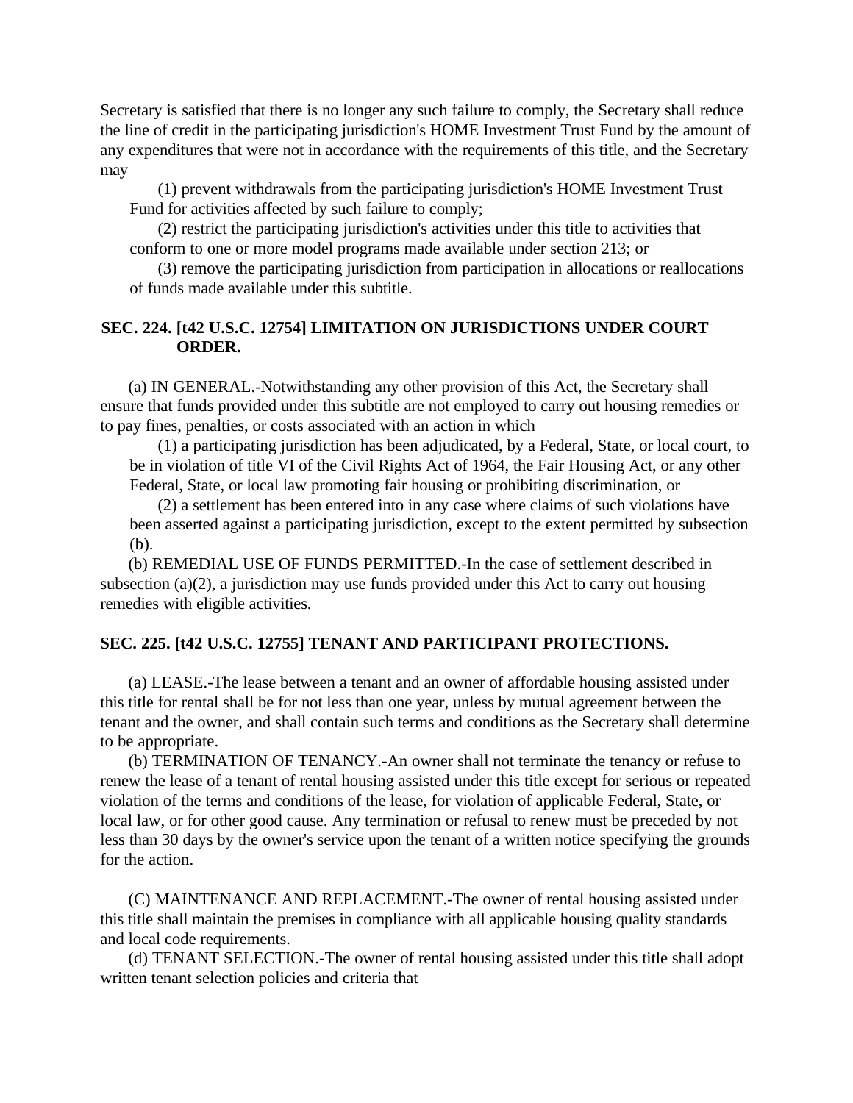Secretary is satisfied that there is no longer any such failure to comply, the Secretary shall reduce the line of credit in the participating jurisdiction's HOME Investment Trust Fund by the amount of any expenditures that were not in accordance with the requirements of this title, and the Secretary may

(1) prevent withdrawals from the participating jurisdiction's HOME Investment Trust Fund for activities affected by such failure to comply;

(2) restrict the participating jurisdiction's activities under this title to activities that conform to one or more model programs made available under section 213; or

(3) remove the participating jurisdiction from participation in allocations or reallocations of funds made available under this subtitle.

## **SEC. 224. [t42 U.S.C. 12754] LIMITATION ON JURISDICTIONS UNDER COURT ORDER.**

(a) IN GENERAL.-Notwithstanding any other provision of this Act, the Secretary shall ensure that funds provided under this subtitle are not employed to carry out housing remedies or to pay fines, penalties, or costs associated with an action in which

(1) a participating jurisdiction has been adjudicated, by a Federal, State, or local court, to be in violation of title VI of the Civil Rights Act of 1964, the Fair Housing Act, or any other Federal, State, or local law promoting fair housing or prohibiting discrimination, or

(2) a settlement has been entered into in any case where claims of such violations have been asserted against a participating jurisdiction, except to the extent permitted by subsection (b).

(b) REMEDIAL USE OF FUNDS PERMITTED.-In the case of settlement described in subsection (a)(2), a jurisdiction may use funds provided under this Act to carry out housing remedies with eligible activities.

# **SEC. 225. [t42 U.S.C. 12755] TENANT AND PARTICIPANT PROTECTIONS.**

(a) LEASE.-The lease between a tenant and an owner of affordable housing assisted under this title for rental shall be for not less than one year, unless by mutual agreement between the tenant and the owner, and shall contain such terms and conditions as the Secretary shall determine to be appropriate.

(b) TERMINATION OF TENANCY.-An owner shall not terminate the tenancy or refuse to renew the lease of a tenant of rental housing assisted under this title except for serious or repeated violation of the terms and conditions of the lease, for violation of applicable Federal, State, or local law, or for other good cause. Any termination or refusal to renew must be preceded by not less than 30 days by the owner's service upon the tenant of a written notice specifying the grounds for the action.

(C) MAINTENANCE AND REPLACEMENT.-The owner of rental housing assisted under this title shall maintain the premises in compliance with all applicable housing quality standards and local code requirements.

(d) TENANT SELECTION.-The owner of rental housing assisted under this title shall adopt written tenant selection policies and criteria that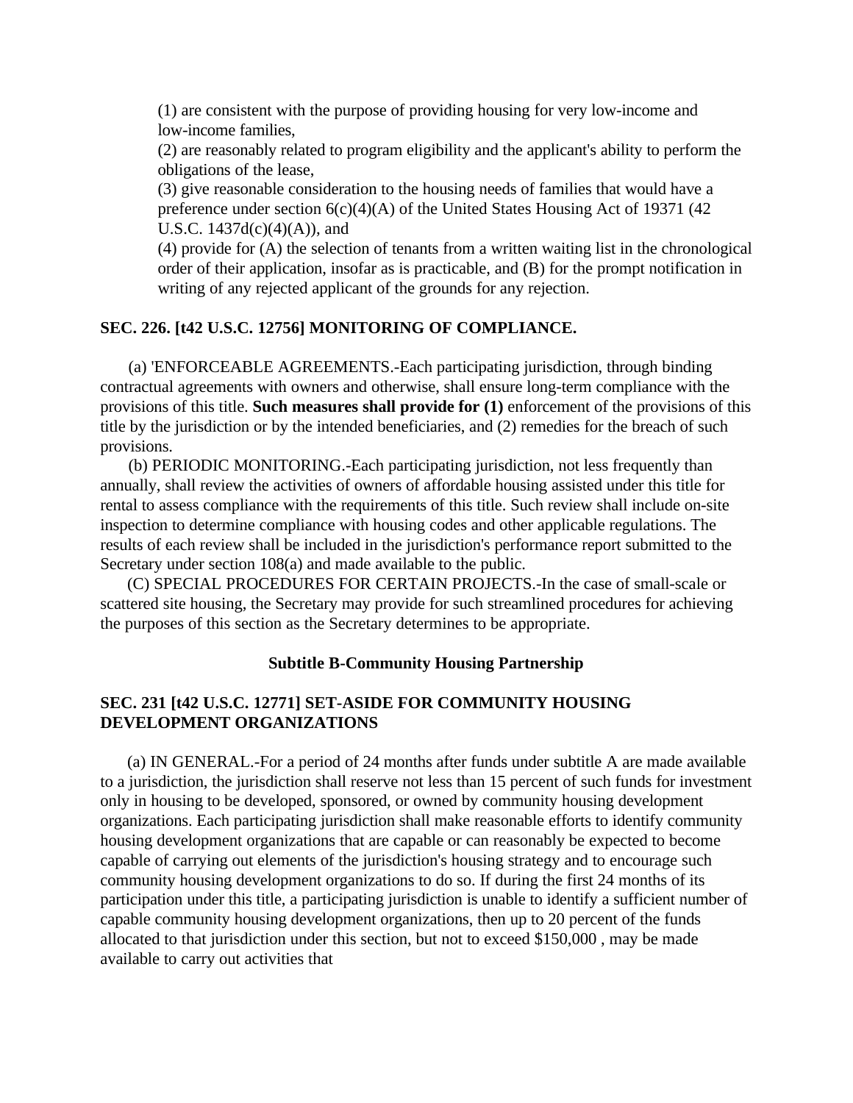(1) are consistent with the purpose of providing housing for very low-income and low-income families,

(2) are reasonably related to program eligibility and the applicant's ability to perform the obligations of the lease,

(3) give reasonable consideration to the housing needs of families that would have a preference under section  $6(c)(4)(A)$  of the United States Housing Act of 19371 (42) U.S.C.  $1437d(c)(4)(A)$ , and

(4) provide for (A) the selection of tenants from a written waiting list in the chronological order of their application, insofar as is practicable, and (B) for the prompt notification in writing of any rejected applicant of the grounds for any rejection.

## **SEC. 226. [t42 U.S.C. 12756] MONITORING OF COMPLIANCE.**

(a) 'ENFORCEABLE AGREEMENTS.-Each participating jurisdiction, through binding contractual agreements with owners and otherwise, shall ensure long-term compliance with the provisions of this title. **Such measures shall provide for (1)** enforcement of the provisions of this title by the jurisdiction or by the intended beneficiaries, and (2) remedies for the breach of such provisions.

(b) PERIODIC MONITORING.-Each participating jurisdiction, not less frequently than annually, shall review the activities of owners of affordable housing assisted under this title for rental to assess compliance with the requirements of this title. Such review shall include on-site inspection to determine compliance with housing codes and other applicable regulations. The results of each review shall be included in the jurisdiction's performance report submitted to the Secretary under section 108(a) and made available to the public.

(C) SPECIAL PROCEDURES FOR CERTAIN PROJECTS.-In the case of small-scale or scattered site housing, the Secretary may provide for such streamlined procedures for achieving the purposes of this section as the Secretary determines to be appropriate.

## **Subtitle B-Community Housing Partnership**

## **SEC. 231 [t42 U.S.C. 12771] SET-ASIDE FOR COMMUNITY HOUSING DEVELOPMENT ORGANIZATIONS**

(a) IN GENERAL.-For a period of 24 months after funds under subtitle A are made available to a jurisdiction, the jurisdiction shall reserve not less than 15 percent of such funds for investment only in housing to be developed, sponsored, or owned by community housing development organizations. Each participating jurisdiction shall make reasonable efforts to identify community housing development organizations that are capable or can reasonably be expected to become capable of carrying out elements of the jurisdiction's housing strategy and to encourage such community housing development organizations to do so. If during the first 24 months of its participation under this title, a participating jurisdiction is unable to identify a sufficient number of capable community housing development organizations, then up to 20 percent of the funds allocated to that jurisdiction under this section, but not to exceed \$150,000 , may be made available to carry out activities that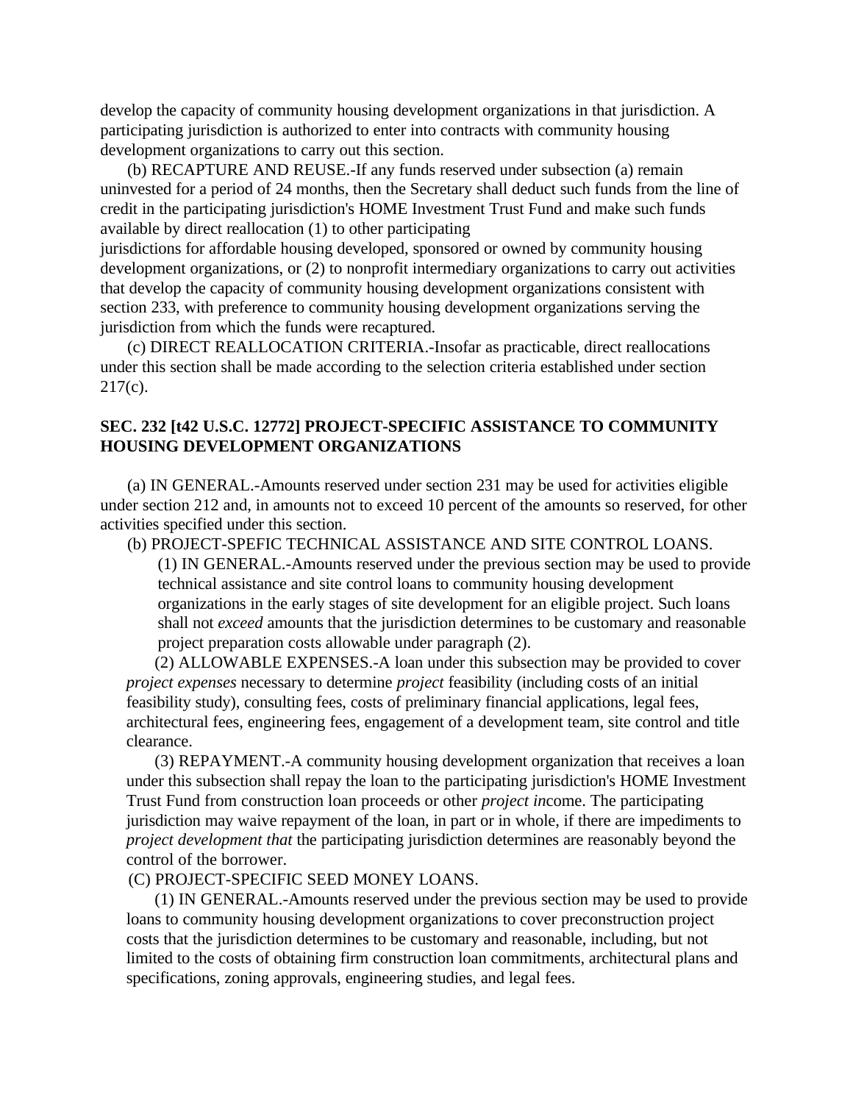develop the capacity of community housing development organizations in that jurisdiction. A participating jurisdiction is authorized to enter into contracts with community housing development organizations to carry out this section.

(b) RECAPTURE AND REUSE.-If any funds reserved under subsection (a) remain uninvested for a period of 24 months, then the Secretary shall deduct such funds from the line of credit in the participating jurisdiction's HOME Investment Trust Fund and make such funds available by direct reallocation (1) to other participating

jurisdictions for affordable housing developed, sponsored or owned by community housing development organizations, or (2) to nonprofit intermediary organizations to carry out activities that develop the capacity of community housing development organizations consistent with section 233, with preference to community housing development organizations serving the jurisdiction from which the funds were recaptured.

(c) DIRECT REALLOCATION CRITERIA.-Insofar as practicable, direct reallocations under this section shall be made according to the selection criteria established under section 217(c).

# **SEC. 232 [t42 U.S.C. 12772] PROJECT-SPECIFIC ASSISTANCE TO COMMUNITY HOUSING DEVELOPMENT ORGANIZATIONS**

(a) IN GENERAL.-Amounts reserved under section 231 may be used for activities eligible under section 212 and, in amounts not to exceed 10 percent of the amounts so reserved, for other activities specified under this section.

(b) PROJECT-SPEFIC TECHNICAL ASSISTANCE AND SITE CONTROL LOANS. (1) IN GENERAL.-Amounts reserved under the previous section may be used to provide technical assistance and site control loans to community housing development

organizations in the early stages of site development for an eligible project. Such loans shall not *exceed* amounts that the jurisdiction determines to be customary and reasonable project preparation costs allowable under paragraph (2).

(2) ALLOWABLE EXPENSES.-A loan under this subsection may be provided to cover *project expenses* necessary to determine *project* feasibility (including costs of an initial feasibility study), consulting fees, costs of preliminary financial applications, legal fees, architectural fees, engineering fees, engagement of a development team, site control and title clearance.

(3) REPAYMENT.-A community housing development organization that receives a loan under this subsection shall repay the loan to the participating jurisdiction's HOME Investment Trust Fund from construction loan proceeds or other *project in*come. The participating jurisdiction may waive repayment of the loan, in part or in whole, if there are impediments to *project development that* the participating jurisdiction determines are reasonably beyond the control of the borrower.

(C) PROJECT-SPECIFIC SEED MONEY LOANS.

(1) IN GENERAL.-Amounts reserved under the previous section may be used to provide loans to community housing development organizations to cover preconstruction project costs that the jurisdiction determines to be customary and reasonable, including, but not limited to the costs of obtaining firm construction loan commitments, architectural plans and specifications, zoning approvals, engineering studies, and legal fees.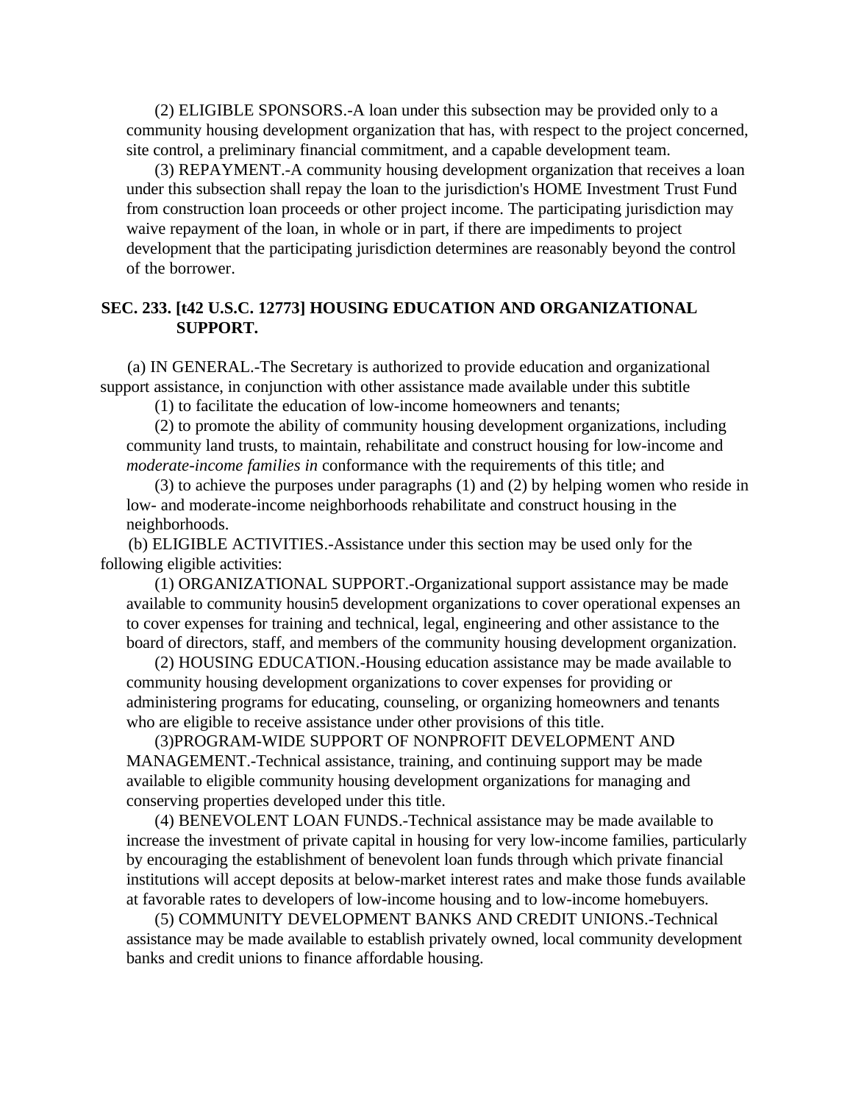(2) ELIGIBLE SPONSORS.-A loan under this subsection may be provided only to a community housing development organization that has, with respect to the project concerned, site control, a preliminary financial commitment, and a capable development team.

(3) REPAYMENT.-A community housing development organization that receives a loan under this subsection shall repay the loan to the jurisdiction's HOME Investment Trust Fund from construction loan proceeds or other project income. The participating jurisdiction may waive repayment of the loan, in whole or in part, if there are impediments to project development that the participating jurisdiction determines are reasonably beyond the control of the borrower.

## **SEC. 233. [t42 U.S.C. 12773] HOUSING EDUCATION AND ORGANIZATIONAL SUPPORT.**

(a) IN GENERAL.-The Secretary is authorized to provide education and organizational support assistance, in conjunction with other assistance made available under this subtitle

(1) to facilitate the education of low-income homeowners and tenants;

(2) to promote the ability of community housing development organizations, including community land trusts, to maintain, rehabilitate and construct housing for low-income and *moderate-income families in* conformance with the requirements of this title; and

(3) to achieve the purposes under paragraphs (1) and (2) by helping women who reside in low- and moderate-income neighborhoods rehabilitate and construct housing in the neighborhoods.

(b) ELIGIBLE ACTIVITIES.-Assistance under this section may be used only for the following eligible activities:

(1) ORGANIZATIONAL SUPPORT.-Organizational support assistance may be made available to community housin5 development organizations to cover operational expenses an to cover expenses for training and technical, legal, engineering and other assistance to the board of directors, staff, and members of the community housing development organization.

(2) HOUSING EDUCATION.-Housing education assistance may be made available to community housing development organizations to cover expenses for providing or administering programs for educating, counseling, or organizing homeowners and tenants who are eligible to receive assistance under other provisions of this title.

(3)PROGRAM-WIDE SUPPORT OF NONPROFIT DEVELOPMENT AND MANAGEMENT.-Technical assistance, training, and continuing support may be made available to eligible community housing development organizations for managing and conserving properties developed under this title.

(4) BENEVOLENT LOAN FUNDS.-Technical assistance may be made available to increase the investment of private capital in housing for very low-income families, particularly by encouraging the establishment of benevolent loan funds through which private financial institutions will accept deposits at below-market interest rates and make those funds available at favorable rates to developers of low-income housing and to low-income homebuyers.

(5) COMMUNITY DEVELOPMENT BANKS AND CREDIT UNIONS.-Technical assistance may be made available to establish privately owned, local community development banks and credit unions to finance affordable housing.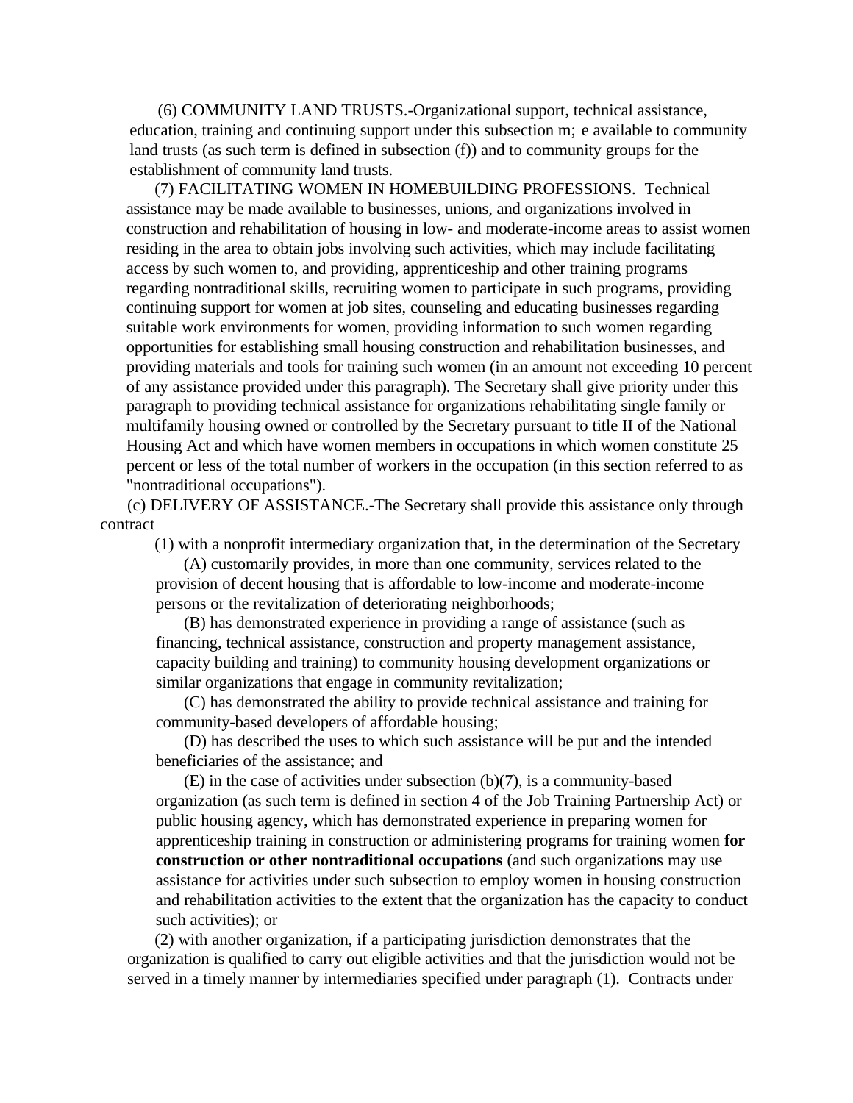(6) COMMUNITY LAND TRUSTS.-Organizational support, technical assistance, education, training and continuing support under this subsection m; e available to community land trusts (as such term is defined in subsection (f)) and to community groups for the establishment of community land trusts.

(7) FACILITATING WOMEN IN HOMEBUILDING PROFESSIONS. Technical assistance may be made available to businesses, unions, and organizations involved in construction and rehabilitation of housing in low- and moderate-income areas to assist women residing in the area to obtain jobs involving such activities, which may include facilitating access by such women to, and providing, apprenticeship and other training programs regarding nontraditional skills, recruiting women to participate in such programs, providing continuing support for women at job sites, counseling and educating businesses regarding suitable work environments for women, providing information to such women regarding opportunities for establishing small housing construction and rehabilitation businesses, and providing materials and tools for training such women (in an amount not exceeding 10 percent of any assistance provided under this paragraph). The Secretary shall give priority under this paragraph to providing technical assistance for organizations rehabilitating single family or multifamily housing owned or controlled by the Secretary pursuant to title II of the National Housing Act and which have women members in occupations in which women constitute 25 percent or less of the total number of workers in the occupation (in this section referred to as "nontraditional occupations").

(c) DELIVERY OF ASSISTANCE.-The Secretary shall provide this assistance only through contract

(1) with a nonprofit intermediary organization that, in the determination of the Secretary

(A) customarily provides, in more than one community, services related to the provision of decent housing that is affordable to low-income and moderate-income persons or the revitalization of deteriorating neighborhoods;

(B) has demonstrated experience in providing a range of assistance (such as financing, technical assistance, construction and property management assistance, capacity building and training) to community housing development organizations or similar organizations that engage in community revitalization;

(C) has demonstrated the ability to provide technical assistance and training for community-based developers of affordable housing;

(D) has described the uses to which such assistance will be put and the intended beneficiaries of the assistance; and

(E) in the case of activities under subsection (b)(7), is a community-based organization (as such term is defined in section 4 of the Job Training Partnership Act) or public housing agency, which has demonstrated experience in preparing women for apprenticeship training in construction or administering programs for training women **for construction or other nontraditional occupations** (and such organizations may use assistance for activities under such subsection to employ women in housing construction and rehabilitation activities to the extent that the organization has the capacity to conduct such activities); or

(2) with another organization, if a participating jurisdiction demonstrates that the organization is qualified to carry out eligible activities and that the jurisdiction would not be served in a timely manner by intermediaries specified under paragraph (1). Contracts under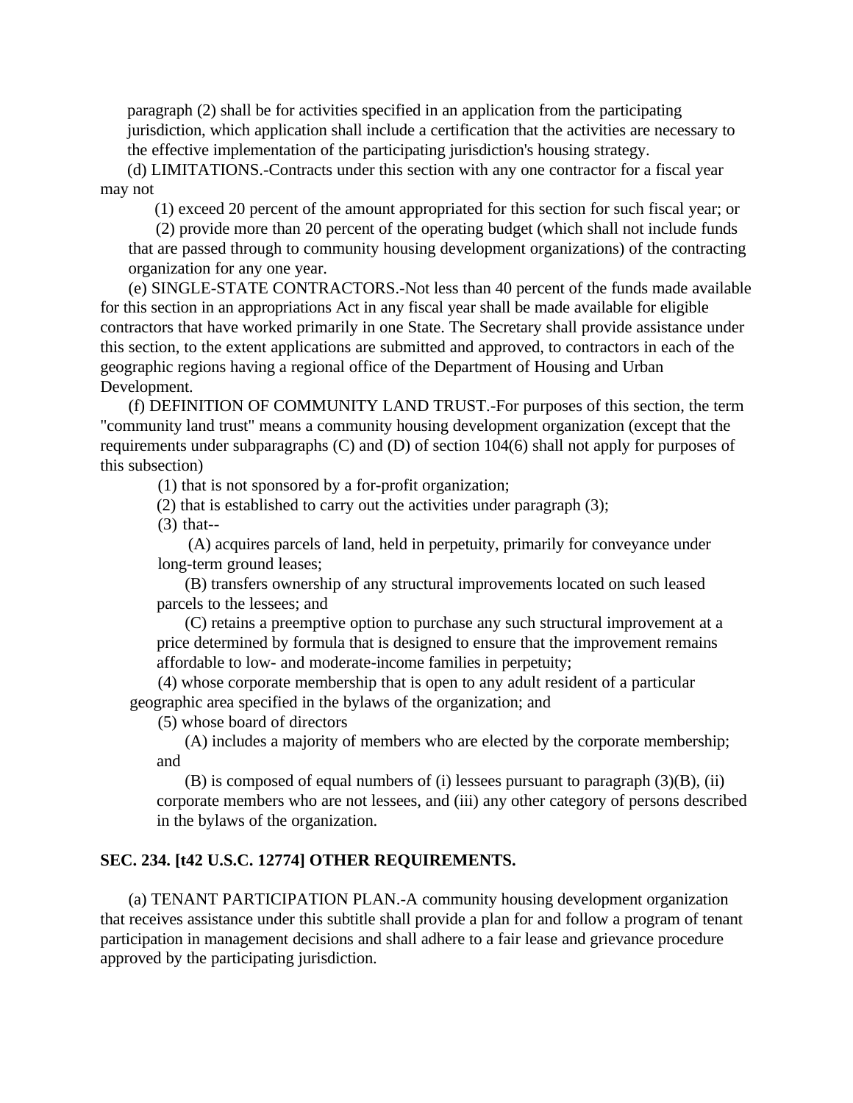paragraph (2) shall be for activities specified in an application from the participating jurisdiction, which application shall include a certification that the activities are necessary to the effective implementation of the participating jurisdiction's housing strategy.

(d) LIMITATIONS.-Contracts under this section with any one contractor for a fiscal year may not

(1) exceed 20 percent of the amount appropriated for this section for such fiscal year; or

(2) provide more than 20 percent of the operating budget (which shall not include funds that are passed through to community housing development organizations) of the contracting organization for any one year.

(e) SINGLE-STATE CONTRACTORS.-Not less than 40 percent of the funds made available for this section in an appropriations Act in any fiscal year shall be made available for eligible contractors that have worked primarily in one State. The Secretary shall provide assistance under this section, to the extent applications are submitted and approved, to contractors in each of the geographic regions having a regional office of the Department of Housing and Urban Development.

(f) DEFINITION OF COMMUNITY LAND TRUST.-For purposes of this section, the term "community land trust" means a community housing development organization (except that the requirements under subparagraphs (C) and (D) of section 104(6) shall not apply for purposes of this subsection)

(1) that is not sponsored by a for-profit organization;

(2) that is established to carry out the activities under paragraph (3);

(3) that--

 (A) acquires parcels of land, held in perpetuity, primarily for conveyance under long-term ground leases;

(B) transfers ownership of any structural improvements located on such leased parcels to the lessees; and

(C) retains a preemptive option to purchase any such structural improvement at a price determined by formula that is designed to ensure that the improvement remains affordable to low- and moderate-income families in perpetuity;

(4) whose corporate membership that is open to any adult resident of a particular geographic area specified in the bylaws of the organization; and

(5) whose board of directors

(A) includes a majority of members who are elected by the corporate membership; and

(B) is composed of equal numbers of (i) lessees pursuant to paragraph (3)(B), (ii) corporate members who are not lessees, and (iii) any other category of persons described in the bylaws of the organization.

## **SEC. 234. [t42 U.S.C. 12774] OTHER REQUIREMENTS.**

(a) TENANT PARTICIPATION PLAN.-A community housing development organization that receives assistance under this subtitle shall provide a plan for and follow a program of tenant participation in management decisions and shall adhere to a fair lease and grievance procedure approved by the participating jurisdiction.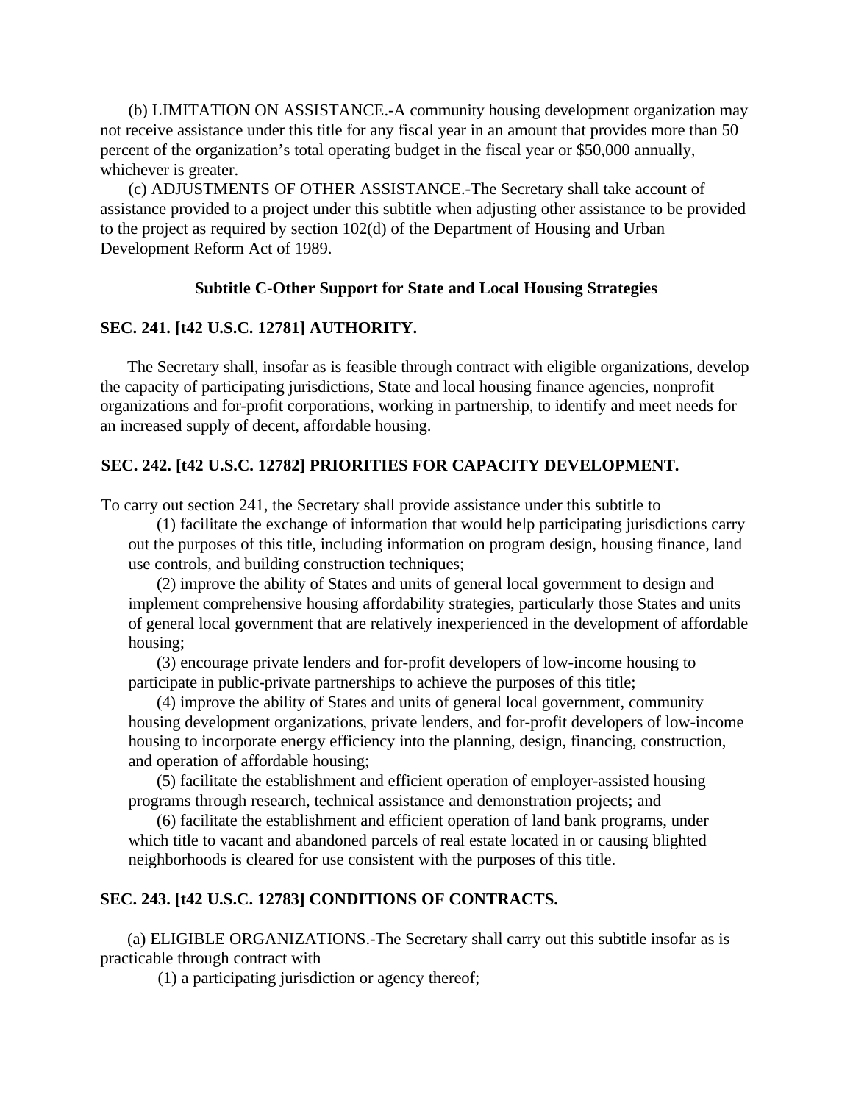(b) LIMITATION ON ASSISTANCE.-A community housing development organization may not receive assistance under this title for any fiscal year in an amount that provides more than 50 percent of the organization's total operating budget in the fiscal year or \$50,000 annually, whichever is greater.

(c) ADJUSTMENTS OF OTHER ASSISTANCE.-The Secretary shall take account of assistance provided to a project under this subtitle when adjusting other assistance to be provided to the project as required by section 102(d) of the Department of Housing and Urban Development Reform Act of 1989.

## **Subtitle C-Other Support for State and Local Housing Strategies**

#### **SEC. 241. [t42 U.S.C. 12781] AUTHORITY.**

The Secretary shall, insofar as is feasible through contract with eligible organizations, develop the capacity of participating jurisdictions, State and local housing finance agencies, nonprofit organizations and for-profit corporations, working in partnership, to identify and meet needs for an increased supply of decent, affordable housing.

#### **SEC. 242. [t42 U.S.C. 12782] PRIORITIES FOR CAPACITY DEVELOPMENT.**

To carry out section 241, the Secretary shall provide assistance under this subtitle to

(1) facilitate the exchange of information that would help participating jurisdictions carry out the purposes of this title, including information on program design, housing finance, land use controls, and building construction techniques;

(2) improve the ability of States and units of general local government to design and implement comprehensive housing affordability strategies, particularly those States and units of general local government that are relatively inexperienced in the development of affordable housing;

(3) encourage private lenders and for-profit developers of low-income housing to participate in public-private partnerships to achieve the purposes of this title;

(4) improve the ability of States and units of general local government, community housing development organizations, private lenders, and for-profit developers of low-income housing to incorporate energy efficiency into the planning, design, financing, construction, and operation of affordable housing;

(5) facilitate the establishment and efficient operation of employer-assisted housing programs through research, technical assistance and demonstration projects; and

(6) facilitate the establishment and efficient operation of land bank programs, under which title to vacant and abandoned parcels of real estate located in or causing blighted neighborhoods is cleared for use consistent with the purposes of this title.

## **SEC. 243. [t42 U.S.C. 12783] CONDITIONS OF CONTRACTS.**

(a) ELIGIBLE ORGANIZATIONS.-The Secretary shall carry out this subtitle insofar as is practicable through contract with

(1) a participating jurisdiction or agency thereof;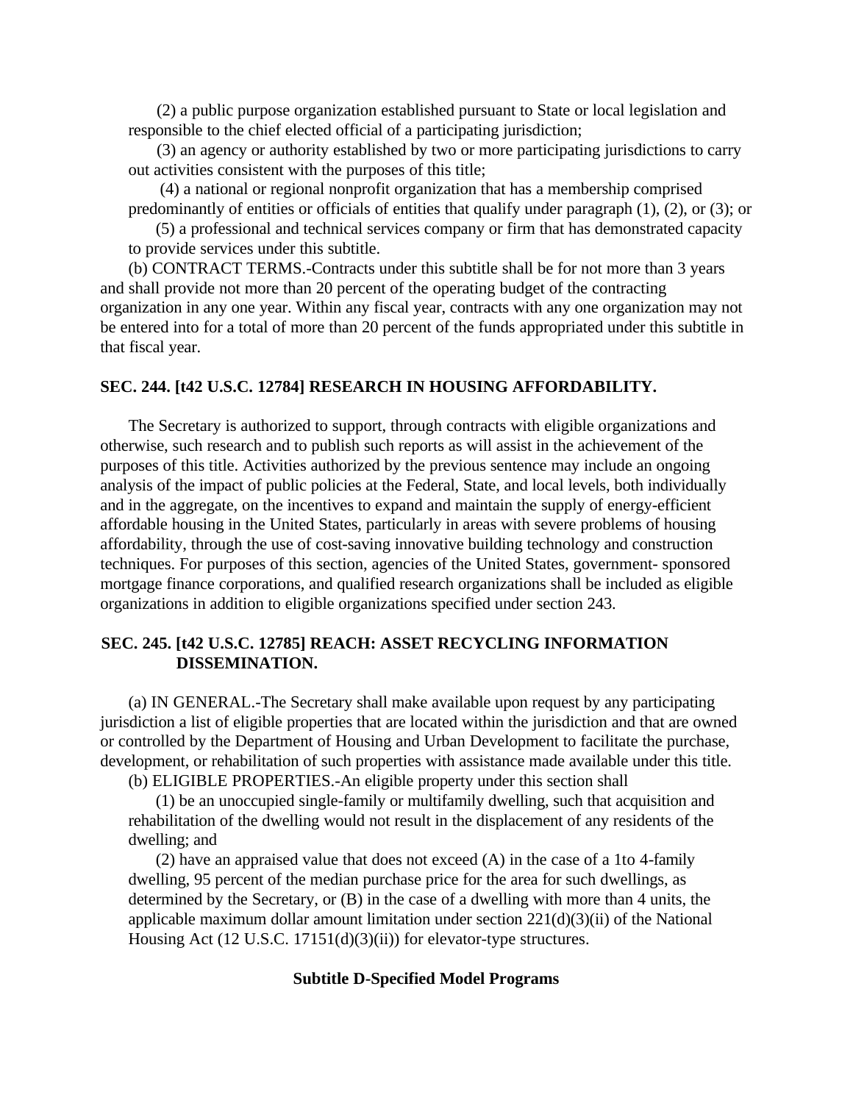(2) a public purpose organization established pursuant to State or local legislation and responsible to the chief elected official of a participating jurisdiction;

(3) an agency or authority established by two or more participating jurisdictions to carry out activities consistent with the purposes of this title;

 (4) a national or regional nonprofit organization that has a membership comprised predominantly of entities or officials of entities that qualify under paragraph (1), (2), or (3); or

(5) a professional and technical services company or firm that has demonstrated capacity to provide services under this subtitle.

(b) CONTRACT TERMS.-Contracts under this subtitle shall be for not more than 3 years and shall provide not more than 20 percent of the operating budget of the contracting organization in any one year. Within any fiscal year, contracts with any one organization may not be entered into for a total of more than 20 percent of the funds appropriated under this subtitle in that fiscal year.

#### **SEC. 244. [t42 U.S.C. 12784] RESEARCH IN HOUSING AFFORDABILITY.**

The Secretary is authorized to support, through contracts with eligible organizations and otherwise, such research and to publish such reports as will assist in the achievement of the purposes of this title. Activities authorized by the previous sentence may include an ongoing analysis of the impact of public policies at the Federal, State, and local levels, both individually and in the aggregate, on the incentives to expand and maintain the supply of energy-efficient affordable housing in the United States, particularly in areas with severe problems of housing affordability, through the use of cost-saving innovative building technology and construction techniques. For purposes of this section, agencies of the United States, government- sponsored mortgage finance corporations, and qualified research organizations shall be included as eligible organizations in addition to eligible organizations specified under section 243.

# **SEC. 245. [t42 U.S.C. 12785] REACH: ASSET RECYCLING INFORMATION DISSEMINATION.**

(a) IN GENERAL.-The Secretary shall make available upon request by any participating jurisdiction a list of eligible properties that are located within the jurisdiction and that are owned or controlled by the Department of Housing and Urban Development to facilitate the purchase, development, or rehabilitation of such properties with assistance made available under this title.

(b) ELIGIBLE PROPERTIES.-An eligible property under this section shall

(1) be an unoccupied single-family or multifamily dwelling, such that acquisition and rehabilitation of the dwelling would not result in the displacement of any residents of the dwelling; and

(2) have an appraised value that does not exceed (A) in the case of a 1to 4-family dwelling, 95 percent of the median purchase price for the area for such dwellings, as determined by the Secretary, or (B) in the case of a dwelling with more than 4 units, the applicable maximum dollar amount limitation under section  $221(d)(3)(ii)$  of the National Housing Act (12 U.S.C. 17151(d)(3)(ii)) for elevator-type structures.

#### **Subtitle D-Specified Model Programs**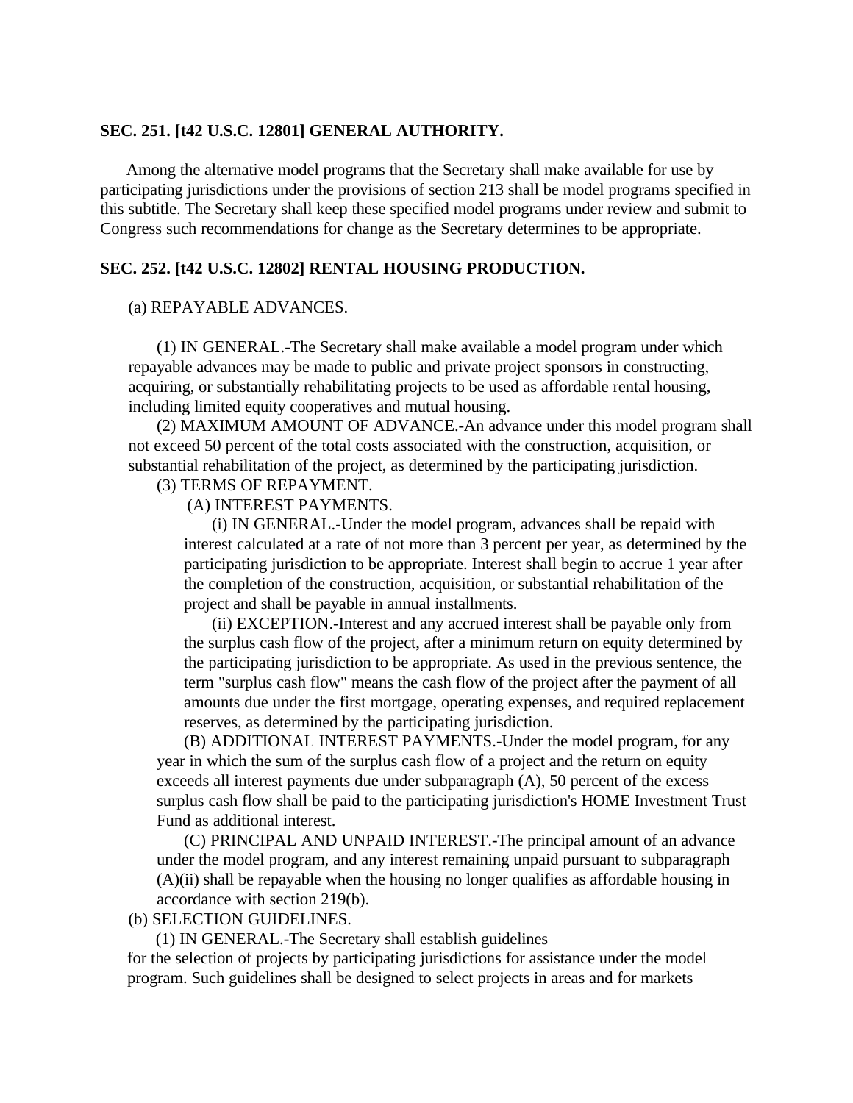#### **SEC. 251. [t42 U.S.C. 12801] GENERAL AUTHORITY.**

Among the alternative model programs that the Secretary shall make available for use by participating jurisdictions under the provisions of section 213 shall be model programs specified in this subtitle. The Secretary shall keep these specified model programs under review and submit to Congress such recommendations for change as the Secretary determines to be appropriate.

## **SEC. 252. [t42 U.S.C. 12802] RENTAL HOUSING PRODUCTION.**

## (a) REPAYABLE ADVANCES.

(1) IN GENERAL.-The Secretary shall make available a model program under which repayable advances may be made to public and private project sponsors in constructing, acquiring, or substantially rehabilitating projects to be used as affordable rental housing, including limited equity cooperatives and mutual housing.

(2) MAXIMUM AMOUNT OF ADVANCE.-An advance under this model program shall not exceed 50 percent of the total costs associated with the construction, acquisition, or substantial rehabilitation of the project, as determined by the participating jurisdiction.

# (3) TERMS OF REPAYMENT.

(A) INTEREST PAYMENTS.

(i) IN GENERAL.-Under the model program, advances shall be repaid with interest calculated at a rate of not more than 3 percent per year, as determined by the participating jurisdiction to be appropriate. Interest shall begin to accrue 1 year after the completion of the construction, acquisition, or substantial rehabilitation of the project and shall be payable in annual installments.

(ii) EXCEPTION.-Interest and any accrued interest shall be payable only from the surplus cash flow of the project, after a minimum return on equity determined by the participating jurisdiction to be appropriate. As used in the previous sentence, the term "surplus cash flow" means the cash flow of the project after the payment of all amounts due under the first mortgage, operating expenses, and required replacement reserves, as determined by the participating jurisdiction.

(B) ADDITIONAL INTEREST PAYMENTS.-Under the model program, for any year in which the sum of the surplus cash flow of a project and the return on equity exceeds all interest payments due under subparagraph (A), 50 percent of the excess surplus cash flow shall be paid to the participating jurisdiction's HOME Investment Trust Fund as additional interest.

(C) PRINCIPAL AND UNPAID INTEREST.-The principal amount of an advance under the model program, and any interest remaining unpaid pursuant to subparagraph (A)(ii) shall be repayable when the housing no longer qualifies as affordable housing in accordance with section 219(b).

(b) SELECTION GUIDELINES.

(1) IN GENERAL.-The Secretary shall establish guidelines

for the selection of projects by participating jurisdictions for assistance under the model program. Such guidelines shall be designed to select projects in areas and for markets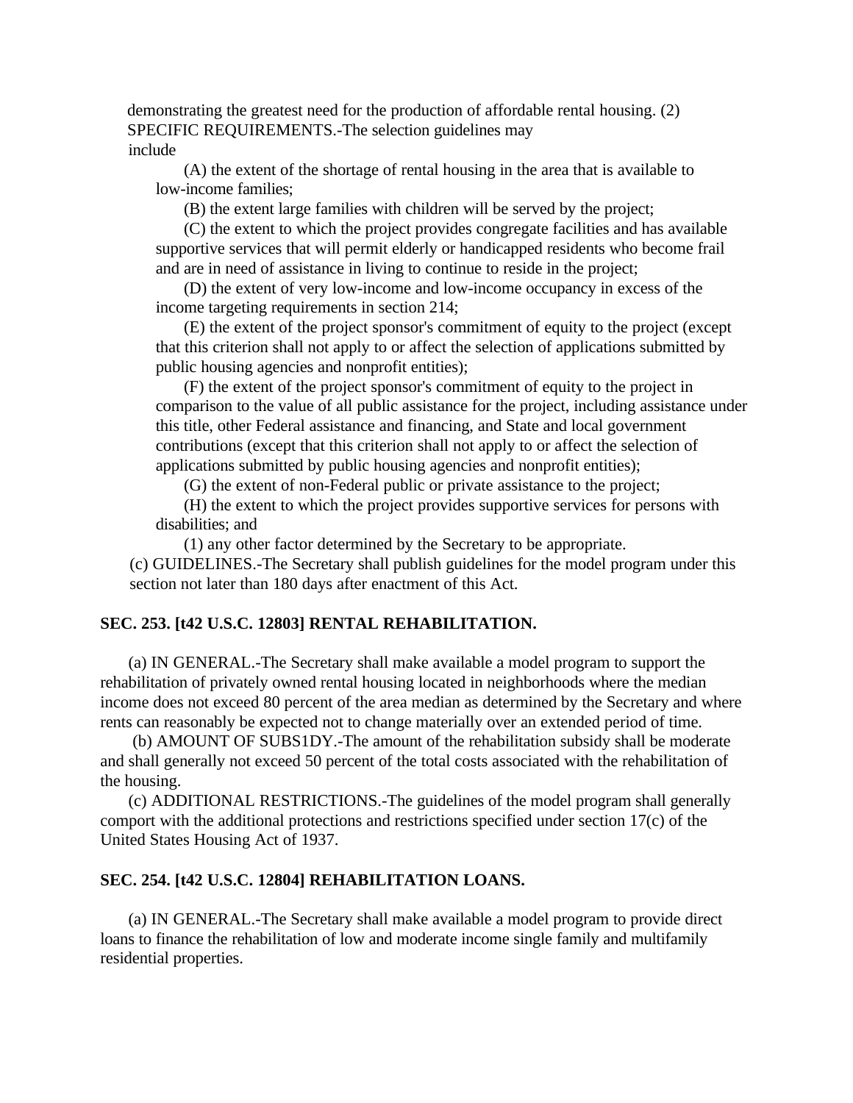demonstrating the greatest need for the production of affordable rental housing. (2) SPECIFIC REQUIREMENTS.-The selection guidelines may include

(A) the extent of the shortage of rental housing in the area that is available to low-income families;

(B) the extent large families with children will be served by the project;

(C) the extent to which the project provides congregate facilities and has available supportive services that will permit elderly or handicapped residents who become frail and are in need of assistance in living to continue to reside in the project;

(D) the extent of very low-income and low-income occupancy in excess of the income targeting requirements in section 214;

(E) the extent of the project sponsor's commitment of equity to the project (except that this criterion shall not apply to or affect the selection of applications submitted by public housing agencies and nonprofit entities);

(F) the extent of the project sponsor's commitment of equity to the project in comparison to the value of all public assistance for the project, including assistance under this title, other Federal assistance and financing, and State and local government contributions (except that this criterion shall not apply to or affect the selection of applications submitted by public housing agencies and nonprofit entities);

(G) the extent of non-Federal public or private assistance to the project;

(H) the extent to which the project provides supportive services for persons with disabilities; and

(1) any other factor determined by the Secretary to be appropriate.

(c) GUIDELINES.-The Secretary shall publish guidelines for the model program under this section not later than 180 days after enactment of this Act.

## **SEC. 253. [t42 U.S.C. 12803] RENTAL REHABILITATION.**

(a) IN GENERAL.-The Secretary shall make available a model program to support the rehabilitation of privately owned rental housing located in neighborhoods where the median income does not exceed 80 percent of the area median as determined by the Secretary and where rents can reasonably be expected not to change materially over an extended period of time.

 (b) AMOUNT OF SUBS1DY.-The amount of the rehabilitation subsidy shall be moderate and shall generally not exceed 50 percent of the total costs associated with the rehabilitation of the housing.

(c) ADDITIONAL RESTRICTIONS.-The guidelines of the model program shall generally comport with the additional protections and restrictions specified under section 17(c) of the United States Housing Act of 1937.

#### **SEC. 254. [t42 U.S.C. 12804] REHABILITATION LOANS.**

(a) IN GENERAL.-The Secretary shall make available a model program to provide direct loans to finance the rehabilitation of low and moderate income single family and multifamily residential properties.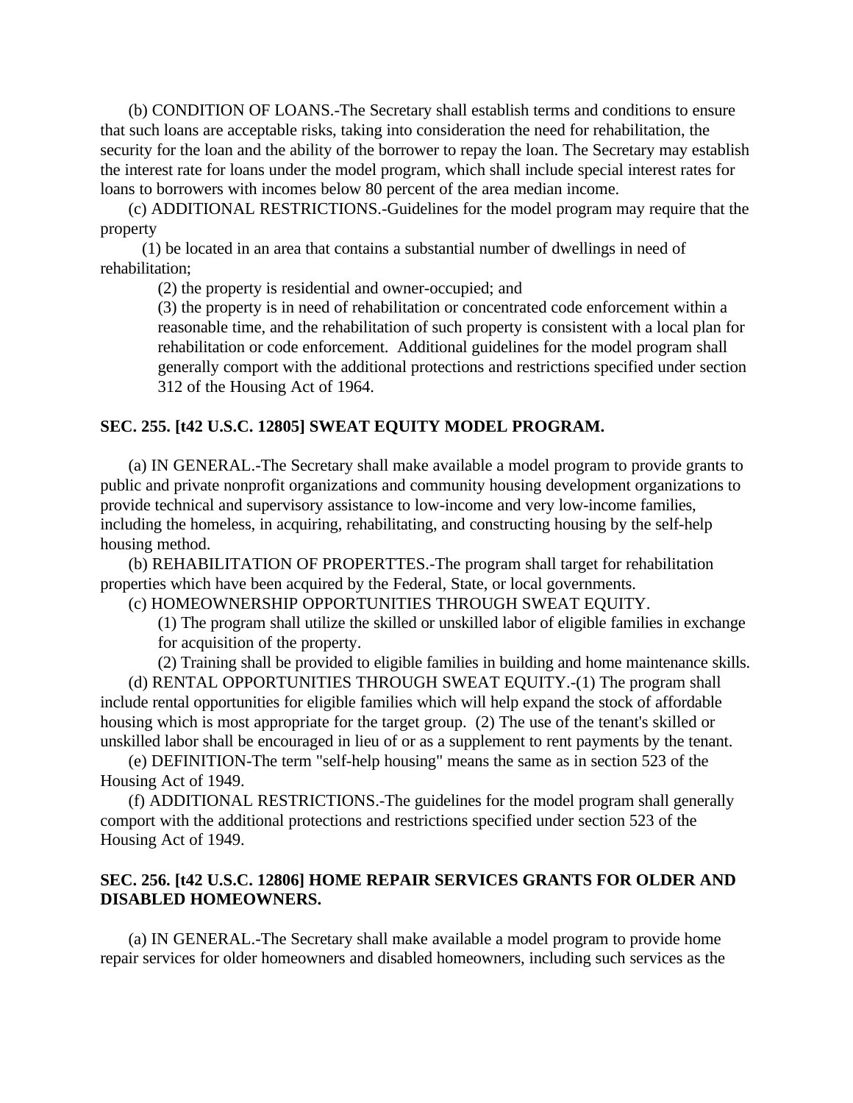(b) CONDITION OF LOANS.-The Secretary shall establish terms and conditions to ensure that such loans are acceptable risks, taking into consideration the need for rehabilitation, the security for the loan and the ability of the borrower to repay the loan. The Secretary may establish the interest rate for loans under the model program, which shall include special interest rates for loans to borrowers with incomes below 80 percent of the area median income.

(c) ADDITIONAL RESTRICTIONS.-Guidelines for the model program may require that the property

(1) be located in an area that contains a substantial number of dwellings in need of rehabilitation;

(2) the property is residential and owner-occupied; and

(3) the property is in need of rehabilitation or concentrated code enforcement within a reasonable time, and the rehabilitation of such property is consistent with a local plan for rehabilitation or code enforcement. Additional guidelines for the model program shall generally comport with the additional protections and restrictions specified under section 312 of the Housing Act of 1964.

## **SEC. 255. [t42 U.S.C. 12805] SWEAT EQUITY MODEL PROGRAM.**

(a) IN GENERAL.-The Secretary shall make available a model program to provide grants to public and private nonprofit organizations and community housing development organizations to provide technical and supervisory assistance to low-income and very low-income families, including the homeless, in acquiring, rehabilitating, and constructing housing by the self-help housing method.

(b) REHABILITATION OF PROPERTTES.-The program shall target for rehabilitation properties which have been acquired by the Federal, State, or local governments.

(c) HOMEOWNERSHIP OPPORTUNITIES THROUGH SWEAT EQUITY.

(1) The program shall utilize the skilled or unskilled labor of eligible families in exchange for acquisition of the property.

(2) Training shall be provided to eligible families in building and home maintenance skills.

(d) RENTAL OPPORTUNITIES THROUGH SWEAT EQUITY.-(1) The program shall include rental opportunities for eligible families which will help expand the stock of affordable housing which is most appropriate for the target group. (2) The use of the tenant's skilled or unskilled labor shall be encouraged in lieu of or as a supplement to rent payments by the tenant.

(e) DEFINITION-The term "self-help housing" means the same as in section 523 of the Housing Act of 1949.

(f) ADDITIONAL RESTRICTIONS.-The guidelines for the model program shall generally comport with the additional protections and restrictions specified under section 523 of the Housing Act of 1949.

## **SEC. 256. [t42 U.S.C. 12806] HOME REPAIR SERVICES GRANTS FOR OLDER AND DISABLED HOMEOWNERS.**

(a) IN GENERAL.-The Secretary shall make available a model program to provide home repair services for older homeowners and disabled homeowners, including such services as the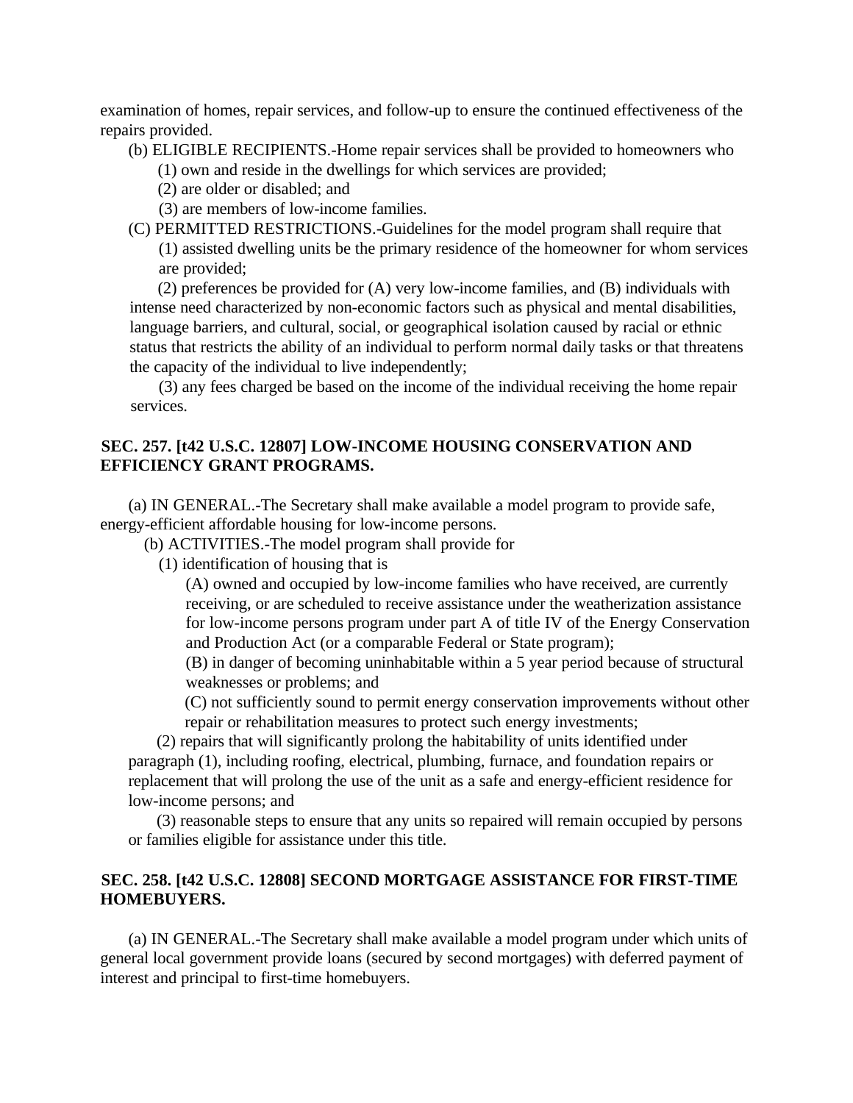examination of homes, repair services, and follow-up to ensure the continued effectiveness of the repairs provided.

(b) ELIGIBLE RECIPIENTS.-Home repair services shall be provided to homeowners who

(1) own and reside in the dwellings for which services are provided;

(2) are older or disabled; and

(3) are members of low-income families.

(C) PERMITTED RESTRICTIONS.-Guidelines for the model program shall require that

(1) assisted dwelling units be the primary residence of the homeowner for whom services are provided;

(2) preferences be provided for (A) very low-income families, and (B) individuals with intense need characterized by non-economic factors such as physical and mental disabilities, language barriers, and cultural, social, or geographical isolation caused by racial or ethnic status that restricts the ability of an individual to perform normal daily tasks or that threatens the capacity of the individual to live independently;

(3) any fees charged be based on the income of the individual receiving the home repair services.

## **SEC. 257. [t42 U.S.C. 12807] LOW-INCOME HOUSING CONSERVATION AND EFFICIENCY GRANT PROGRAMS.**

(a) IN GENERAL.-The Secretary shall make available a model program to provide safe, energy-efficient affordable housing for low-income persons.

(b) ACTIVITIES.-The model program shall provide for

(1) identification of housing that is

(A) owned and occupied by low-income families who have received, are currently receiving, or are scheduled to receive assistance under the weatherization assistance for low-income persons program under part A of title IV of the Energy Conservation and Production Act (or a comparable Federal or State program);

(B) in danger of becoming uninhabitable within a 5 year period because of structural weaknesses or problems; and

(C) not sufficiently sound to permit energy conservation improvements without other repair or rehabilitation measures to protect such energy investments;

(2) repairs that will significantly prolong the habitability of units identified under paragraph (1), including roofing, electrical, plumbing, furnace, and foundation repairs or replacement that will prolong the use of the unit as a safe and energy-efficient residence for low-income persons; and

(3) reasonable steps to ensure that any units so repaired will remain occupied by persons or families eligible for assistance under this title.

## **SEC. 258. [t42 U.S.C. 12808] SECOND MORTGAGE ASSISTANCE FOR FIRST-TIME HOMEBUYERS.**

(a) IN GENERAL.-The Secretary shall make available a model program under which units of general local government provide loans (secured by second mortgages) with deferred payment of interest and principal to first-time homebuyers.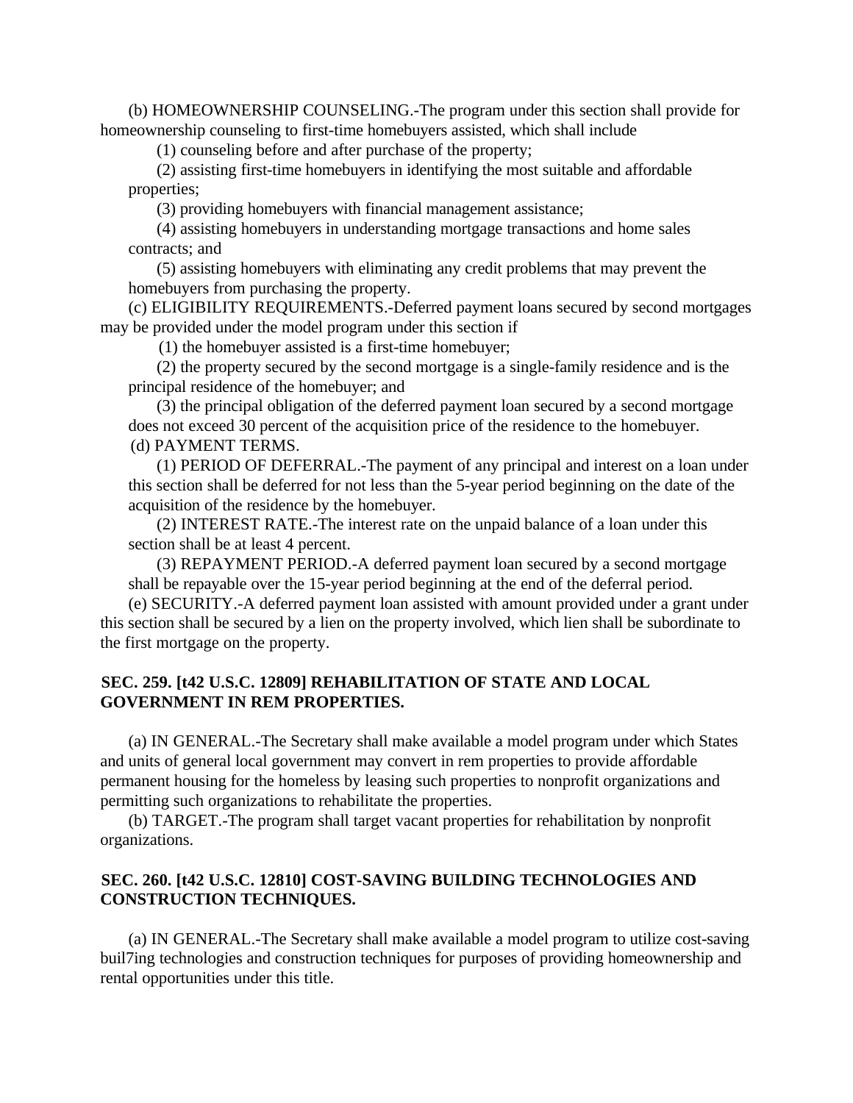(b) HOMEOWNERSHIP COUNSELING.-The program under this section shall provide for homeownership counseling to first-time homebuyers assisted, which shall include

(1) counseling before and after purchase of the property;

(2) assisting first-time homebuyers in identifying the most suitable and affordable properties;

(3) providing homebuyers with financial management assistance;

(4) assisting homebuyers in understanding mortgage transactions and home sales contracts; and

(5) assisting homebuyers with eliminating any credit problems that may prevent the homebuyers from purchasing the property.

(c) ELIGIBILITY REQUIREMENTS.-Deferred payment loans secured by second mortgages may be provided under the model program under this section if

(1) the homebuyer assisted is a first-time homebuyer;

(2) the property secured by the second mortgage is a single-family residence and is the principal residence of the homebuyer; and

(3) the principal obligation of the deferred payment loan secured by a second mortgage does not exceed 30 percent of the acquisition price of the residence to the homebuyer. (d) PAYMENT TERMS.

(1) PERIOD OF DEFERRAL.-The payment of any principal and interest on a loan under this section shall be deferred for not less than the 5-year period beginning on the date of the acquisition of the residence by the homebuyer.

(2) INTEREST RATE.-The interest rate on the unpaid balance of a loan under this section shall be at least 4 percent.

(3) REPAYMENT PERIOD.-A deferred payment loan secured by a second mortgage shall be repayable over the 15-year period beginning at the end of the deferral period.

(e) SECURITY.-A deferred payment loan assisted with amount provided under a grant under this section shall be secured by a lien on the property involved, which lien shall be subordinate to the first mortgage on the property.

# **SEC. 259. [t42 U.S.C. 12809] REHABILITATION OF STATE AND LOCAL GOVERNMENT IN REM PROPERTIES.**

(a) IN GENERAL.-The Secretary shall make available a model program under which States and units of general local government may convert in rem properties to provide affordable permanent housing for the homeless by leasing such properties to nonprofit organizations and permitting such organizations to rehabilitate the properties.

(b) TARGET.-The program shall target vacant properties for rehabilitation by nonprofit organizations.

## **SEC. 260. [t42 U.S.C. 12810] COST-SAVING BUILDING TECHNOLOGIES AND CONSTRUCTION TECHNIQUES.**

(a) IN GENERAL.-The Secretary shall make available a model program to utilize cost-saving buil7ing technologies and construction techniques for purposes of providing homeownership and rental opportunities under this title.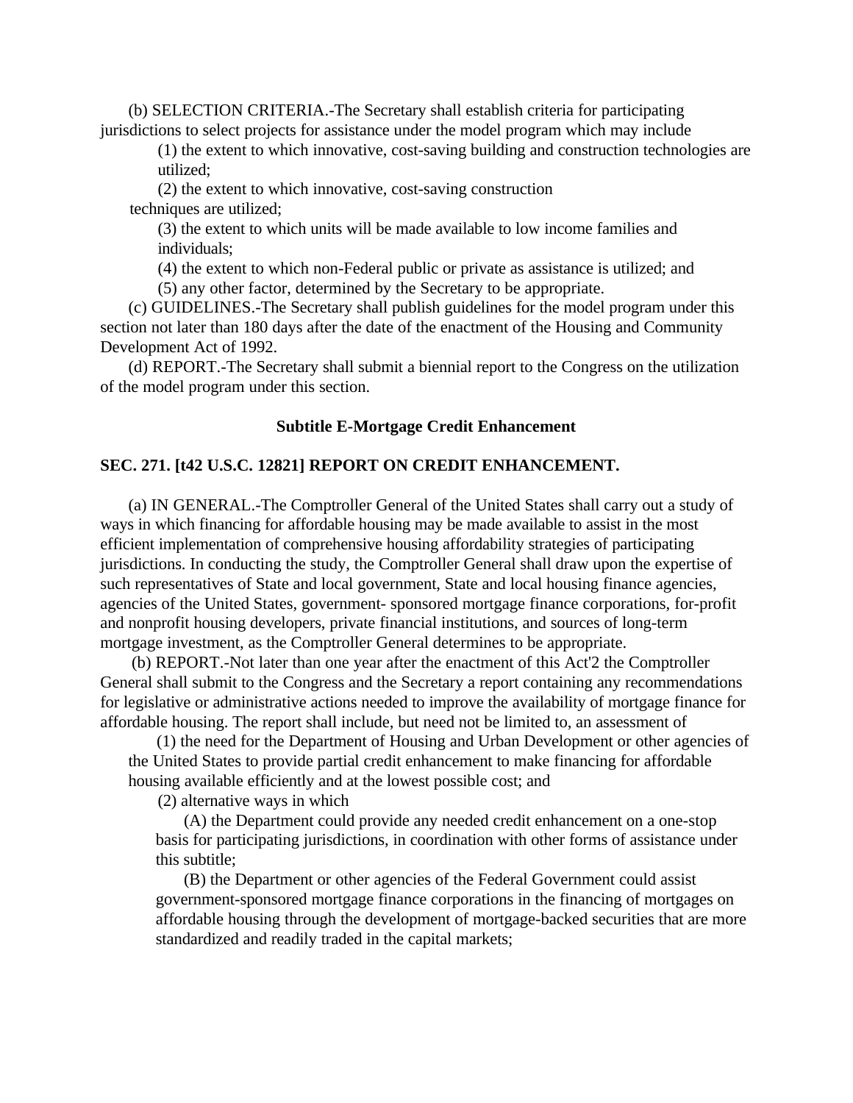(b) SELECTION CRITERIA.-The Secretary shall establish criteria for participating jurisdictions to select projects for assistance under the model program which may include

(1) the extent to which innovative, cost-saving building and construction technologies are utilized;

(2) the extent to which innovative, cost-saving construction techniques are utilized;

(3) the extent to which units will be made available to low income families and individuals;

(4) the extent to which non-Federal public or private as assistance is utilized; and

(5) any other factor, determined by the Secretary to be appropriate.

(c) GUIDELINES.-The Secretary shall publish guidelines for the model program under this section not later than 180 days after the date of the enactment of the Housing and Community Development Act of 1992.

(d) REPORT.-The Secretary shall submit a biennial report to the Congress on the utilization of the model program under this section.

#### **Subtitle E-Mortgage Credit Enhancement**

## **SEC. 271. [t42 U.S.C. 12821] REPORT ON CREDIT ENHANCEMENT.**

(a) IN GENERAL.-The Comptroller General of the United States shall carry out a study of ways in which financing for affordable housing may be made available to assist in the most efficient implementation of comprehensive housing affordability strategies of participating jurisdictions. In conducting the study, the Comptroller General shall draw upon the expertise of such representatives of State and local government, State and local housing finance agencies, agencies of the United States, government- sponsored mortgage finance corporations, for-profit and nonprofit housing developers, private financial institutions, and sources of long-term mortgage investment, as the Comptroller General determines to be appropriate.

 (b) REPORT.-Not later than one year after the enactment of this Act'2 the Comptroller General shall submit to the Congress and the Secretary a report containing any recommendations for legislative or administrative actions needed to improve the availability of mortgage finance for affordable housing. The report shall include, but need not be limited to, an assessment of

(1) the need for the Department of Housing and Urban Development or other agencies of the United States to provide partial credit enhancement to make financing for affordable housing available efficiently and at the lowest possible cost; and

(2) alternative ways in which

(A) the Department could provide any needed credit enhancement on a one-stop basis for participating jurisdictions, in coordination with other forms of assistance under this subtitle;

(B) the Department or other agencies of the Federal Government could assist government-sponsored mortgage finance corporations in the financing of mortgages on affordable housing through the development of mortgage-backed securities that are more standardized and readily traded in the capital markets;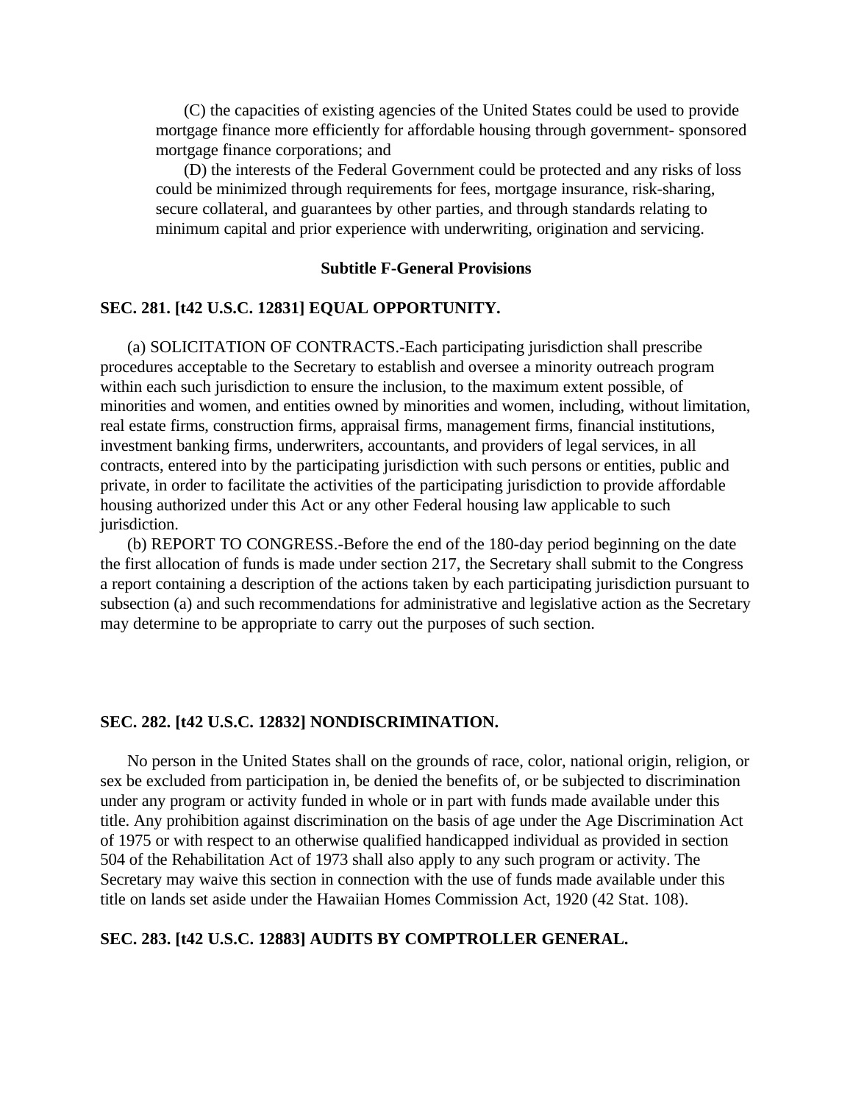(C) the capacities of existing agencies of the United States could be used to provide mortgage finance more efficiently for affordable housing through government- sponsored mortgage finance corporations; and

(D) the interests of the Federal Government could be protected and any risks of loss could be minimized through requirements for fees, mortgage insurance, risk-sharing, secure collateral, and guarantees by other parties, and through standards relating to minimum capital and prior experience with underwriting, origination and servicing.

## **Subtitle F-General Provisions**

## **SEC. 281. [t42 U.S.C. 12831] EQUAL OPPORTUNITY.**

(a) SOLICITATION OF CONTRACTS.-Each participating jurisdiction shall prescribe procedures acceptable to the Secretary to establish and oversee a minority outreach program within each such jurisdiction to ensure the inclusion, to the maximum extent possible, of minorities and women, and entities owned by minorities and women, including, without limitation, real estate firms, construction firms, appraisal firms, management firms, financial institutions, investment banking firms, underwriters, accountants, and providers of legal services, in all contracts, entered into by the participating jurisdiction with such persons or entities, public and private, in order to facilitate the activities of the participating jurisdiction to provide affordable housing authorized under this Act or any other Federal housing law applicable to such jurisdiction.

(b) REPORT TO CONGRESS.-Before the end of the 180-day period beginning on the date the first allocation of funds is made under section 217, the Secretary shall submit to the Congress a report containing a description of the actions taken by each participating jurisdiction pursuant to subsection (a) and such recommendations for administrative and legislative action as the Secretary may determine to be appropriate to carry out the purposes of such section.

#### **SEC. 282. [t42 U.S.C. 12832] NONDISCRIMINATION.**

No person in the United States shall on the grounds of race, color, national origin, religion, or sex be excluded from participation in, be denied the benefits of, or be subjected to discrimination under any program or activity funded in whole or in part with funds made available under this title. Any prohibition against discrimination on the basis of age under the Age Discrimination Act of 1975 or with respect to an otherwise qualified handicapped individual as provided in section 504 of the Rehabilitation Act of 1973 shall also apply to any such program or activity. The Secretary may waive this section in connection with the use of funds made available under this title on lands set aside under the Hawaiian Homes Commission Act, 1920 (42 Stat. 108).

## **SEC. 283. [t42 U.S.C. 12883] AUDITS BY COMPTROLLER GENERAL.**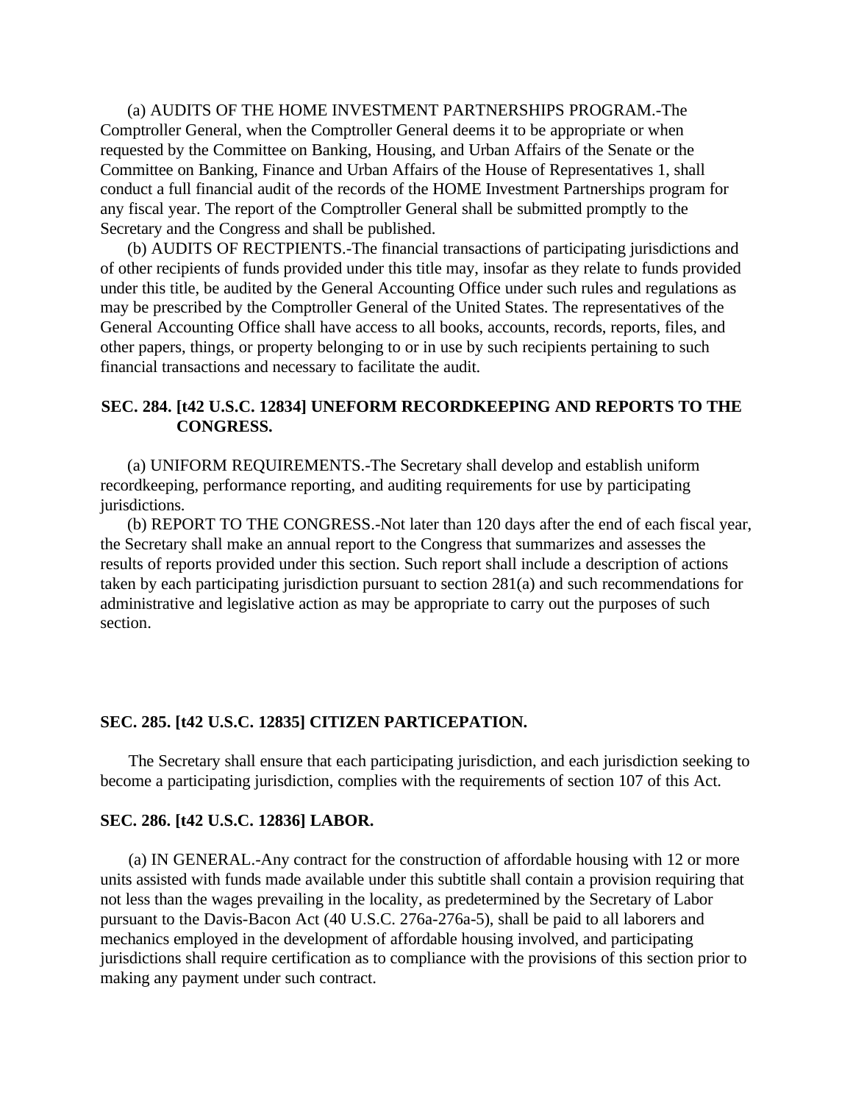(a) AUDITS OF THE HOME INVESTMENT PARTNERSHIPS PROGRAM.-The Comptroller General, when the Comptroller General deems it to be appropriate or when requested by the Committee on Banking, Housing, and Urban Affairs of the Senate or the Committee on Banking, Finance and Urban Affairs of the House of Representatives 1, shall conduct a full financial audit of the records of the HOME Investment Partnerships program for any fiscal year. The report of the Comptroller General shall be submitted promptly to the Secretary and the Congress and shall be published.

(b) AUDITS OF RECTPIENTS.-The financial transactions of participating jurisdictions and of other recipients of funds provided under this title may, insofar as they relate to funds provided under this title, be audited by the General Accounting Office under such rules and regulations as may be prescribed by the Comptroller General of the United States. The representatives of the General Accounting Office shall have access to all books, accounts, records, reports, files, and other papers, things, or property belonging to or in use by such recipients pertaining to such financial transactions and necessary to facilitate the audit.

## **SEC. 284. [t42 U.S.C. 12834] UNEFORM RECORDKEEPING AND REPORTS TO THE CONGRESS.**

(a) UNIFORM REQUIREMENTS.-The Secretary shall develop and establish uniform recordkeeping, performance reporting, and auditing requirements for use by participating jurisdictions.

(b) REPORT TO THE CONGRESS.-Not later than 120 days after the end of each fiscal year, the Secretary shall make an annual report to the Congress that summarizes and assesses the results of reports provided under this section. Such report shall include a description of actions taken by each participating jurisdiction pursuant to section 281(a) and such recommendations for administrative and legislative action as may be appropriate to carry out the purposes of such section.

#### **SEC. 285. [t42 U.S.C. 12835] CITIZEN PARTICEPATION.**

The Secretary shall ensure that each participating jurisdiction, and each jurisdiction seeking to become a participating jurisdiction, complies with the requirements of section 107 of this Act.

#### **SEC. 286. [t42 U.S.C. 12836] LABOR.**

(a) IN GENERAL.-Any contract for the construction of affordable housing with 12 or more units assisted with funds made available under this subtitle shall contain a provision requiring that not less than the wages prevailing in the locality, as predetermined by the Secretary of Labor pursuant to the Davis-Bacon Act (40 U.S.C. 276a-276a-5), shall be paid to all laborers and mechanics employed in the development of affordable housing involved, and participating jurisdictions shall require certification as to compliance with the provisions of this section prior to making any payment under such contract.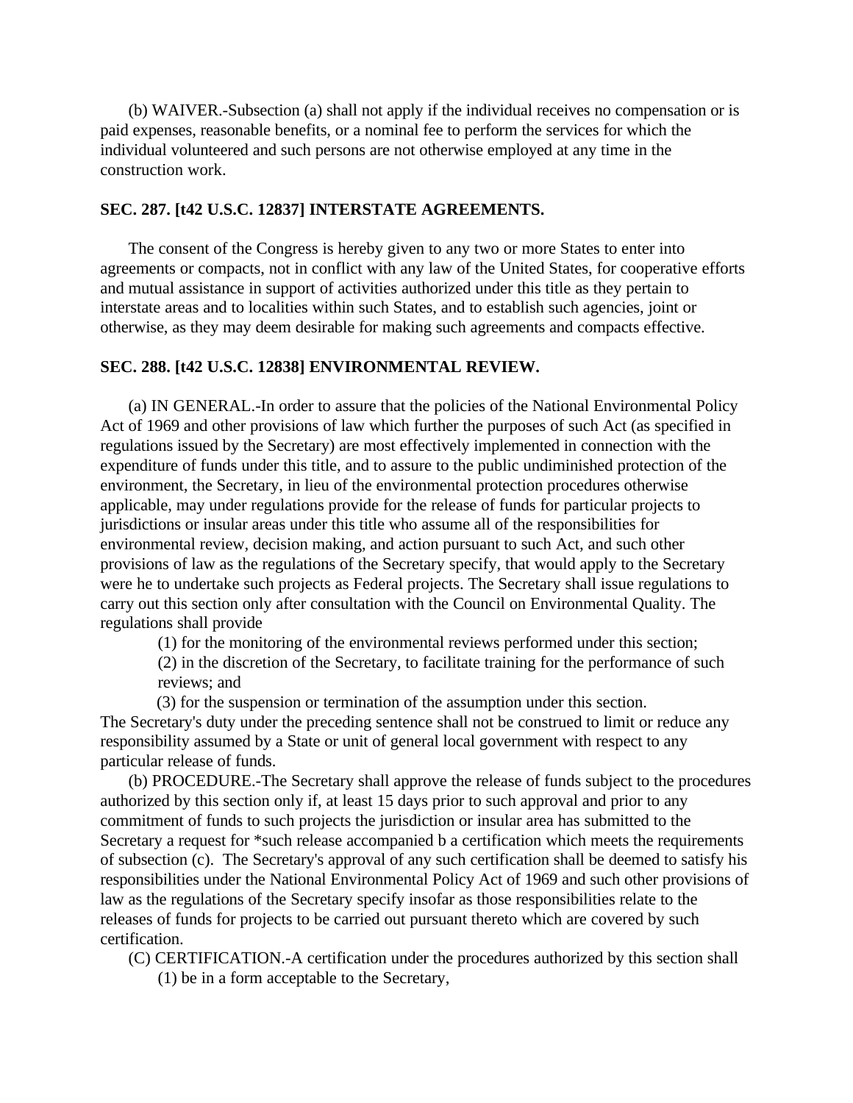(b) WAIVER.-Subsection (a) shall not apply if the individual receives no compensation or is paid expenses, reasonable benefits, or a nominal fee to perform the services for which the individual volunteered and such persons are not otherwise employed at any time in the construction work.

## **SEC. 287. [t42 U.S.C. 12837] INTERSTATE AGREEMENTS.**

The consent of the Congress is hereby given to any two or more States to enter into agreements or compacts, not in conflict with any law of the United States, for cooperative efforts and mutual assistance in support of activities authorized under this title as they pertain to interstate areas and to localities within such States, and to establish such agencies, joint or otherwise, as they may deem desirable for making such agreements and compacts effective.

## **SEC. 288. [t42 U.S.C. 12838] ENVIRONMENTAL REVIEW.**

(a) IN GENERAL.-In order to assure that the policies of the National Environmental Policy Act of 1969 and other provisions of law which further the purposes of such Act (as specified in regulations issued by the Secretary) are most effectively implemented in connection with the expenditure of funds under this title, and to assure to the public undiminished protection of the environment, the Secretary, in lieu of the environmental protection procedures otherwise applicable, may under regulations provide for the release of funds for particular projects to jurisdictions or insular areas under this title who assume all of the responsibilities for environmental review, decision making, and action pursuant to such Act, and such other provisions of law as the regulations of the Secretary specify, that would apply to the Secretary were he to undertake such projects as Federal projects. The Secretary shall issue regulations to carry out this section only after consultation with the Council on Environmental Quality. The regulations shall provide

(1) for the monitoring of the environmental reviews performed under this section;

(2) in the discretion of the Secretary, to facilitate training for the performance of such reviews; and

(3) for the suspension or termination of the assumption under this section.

The Secretary's duty under the preceding sentence shall not be construed to limit or reduce any responsibility assumed by a State or unit of general local government with respect to any particular release of funds.

(b) PROCEDURE.-The Secretary shall approve the release of funds subject to the procedures authorized by this section only if, at least 15 days prior to such approval and prior to any commitment of funds to such projects the jurisdiction or insular area has submitted to the Secretary a request for \*such release accompanied b a certification which meets the requirements of subsection (c). The Secretary's approval of any such certification shall be deemed to satisfy his responsibilities under the National Environmental Policy Act of 1969 and such other provisions of law as the regulations of the Secretary specify insofar as those responsibilities relate to the releases of funds for projects to be carried out pursuant thereto which are covered by such certification.

(C) CERTIFICATION.-A certification under the procedures authorized by this section shall

(1) be in a form acceptable to the Secretary,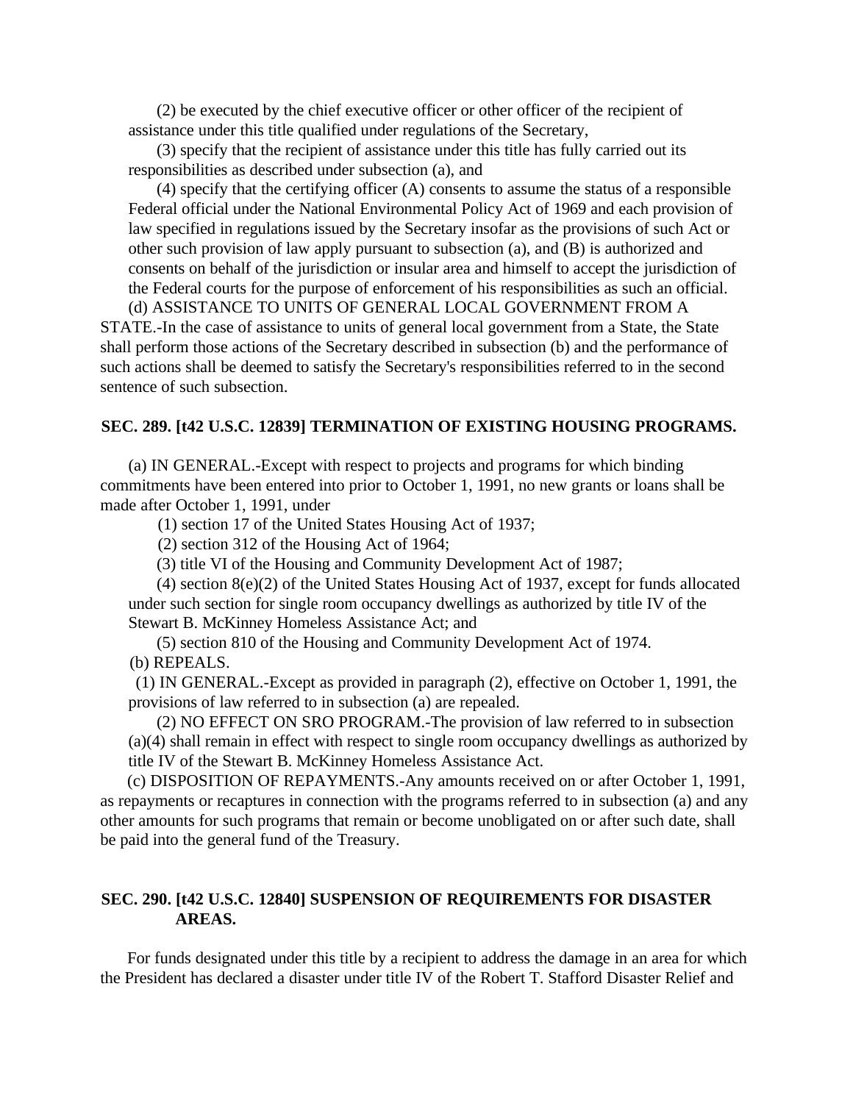(2) be executed by the chief executive officer or other officer of the recipient of assistance under this title qualified under regulations of the Secretary,

(3) specify that the recipient of assistance under this title has fully carried out its responsibilities as described under subsection (a), and

(4) specify that the certifying officer (A) consents to assume the status of a responsible Federal official under the National Environmental Policy Act of 1969 and each provision of law specified in regulations issued by the Secretary insofar as the provisions of such Act or other such provision of law apply pursuant to subsection (a), and (B) is authorized and consents on behalf of the jurisdiction or insular area and himself to accept the jurisdiction of the Federal courts for the purpose of enforcement of his responsibilities as such an official.

(d) ASSISTANCE TO UNITS OF GENERAL LOCAL GOVERNMENT FROM A STATE.-In the case of assistance to units of general local government from a State, the State shall perform those actions of the Secretary described in subsection (b) and the performance of such actions shall be deemed to satisfy the Secretary's responsibilities referred to in the second sentence of such subsection.

#### **SEC. 289. [t42 U.S.C. 12839] TERMINATION OF EXISTING HOUSING PROGRAMS.**

(a) IN GENERAL.-Except with respect to projects and programs for which binding commitments have been entered into prior to October 1, 1991, no new grants or loans shall be made after October 1, 1991, under

(1) section 17 of the United States Housing Act of 1937;

(2) section 312 of the Housing Act of 1964;

(3) title VI of the Housing and Community Development Act of 1987;

(4) section 8(e)(2) of the United States Housing Act of 1937, except for funds allocated under such section for single room occupancy dwellings as authorized by title IV of the Stewart B. McKinney Homeless Assistance Act; and

(5) section 810 of the Housing and Community Development Act of 1974.

(b) REPEALS.

(1) IN GENERAL.-Except as provided in paragraph (2), effective on October 1, 1991, the provisions of law referred to in subsection (a) are repealed.

(2) NO EFFECT ON SRO PROGRAM.-The provision of law referred to in subsection (a)(4) shall remain in effect with respect to single room occupancy dwellings as authorized by title IV of the Stewart B. McKinney Homeless Assistance Act.

(c) DISPOSITION OF REPAYMENTS.-Any amounts received on or after October 1, 1991, as repayments or recaptures in connection with the programs referred to in subsection (a) and any other amounts for such programs that remain or become unobligated on or after such date, shall be paid into the general fund of the Treasury.

## **SEC. 290. [t42 U.S.C. 12840] SUSPENSION OF REQUIREMENTS FOR DISASTER AREAS.**

For funds designated under this title by a recipient to address the damage in an area for which the President has declared a disaster under title IV of the Robert T. Stafford Disaster Relief and